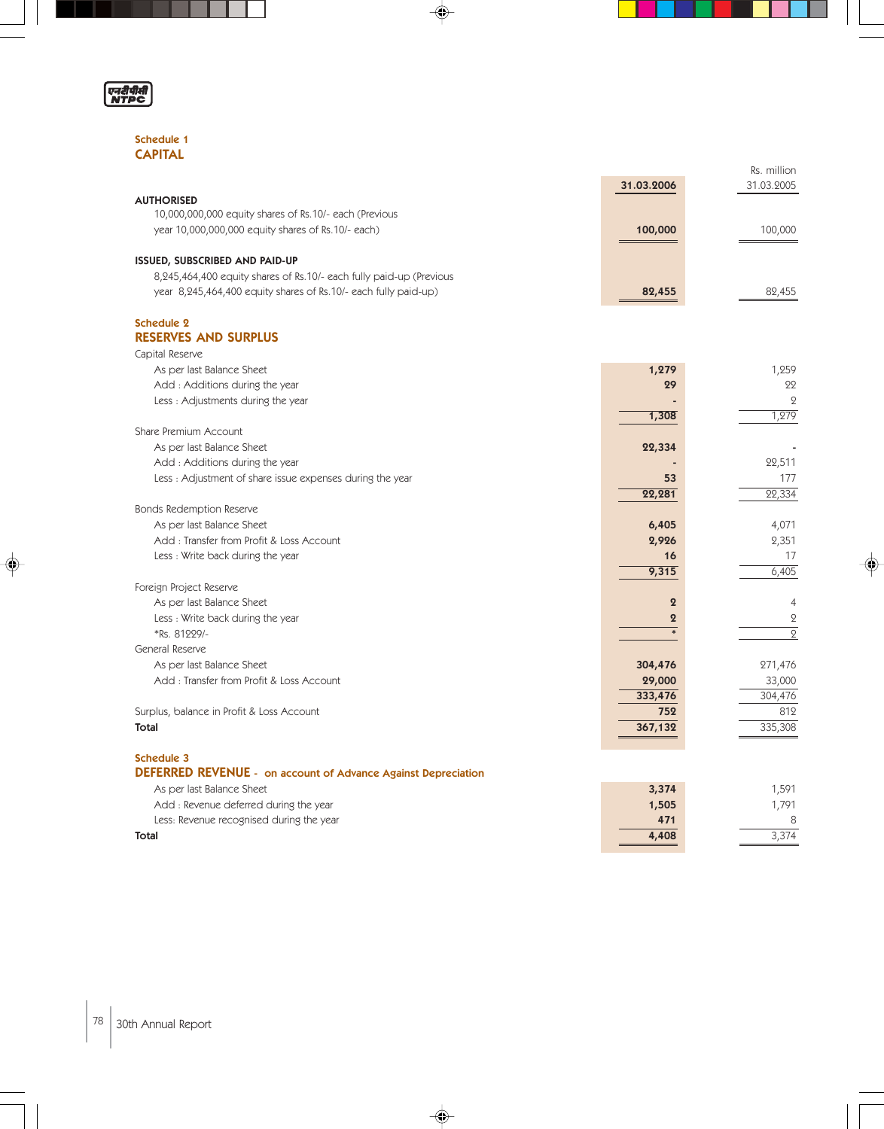

◈

#### Schedule 1 **CAPITAL**

|                                                                     |                  | Rs. million    |
|---------------------------------------------------------------------|------------------|----------------|
|                                                                     | 31.03.2006       | 31.03.2005     |
| <b>AUTHORISED</b>                                                   |                  |                |
| 10,000,000,000 equity shares of Rs.10/- each (Previous              |                  |                |
| year 10,000,000,000 equity shares of Rs.10/- each)                  | 100,000          | 100,000        |
| ISSUED, SUBSCRIBED AND PAID-UP                                      |                  |                |
| 8,245,464,400 equity shares of Rs.10/- each fully paid-up (Previous |                  |                |
| year 8,245,464,400 equity shares of Rs.10/- each fully paid-up)     | 82,455           | 82,455         |
| <b>Schedule 2</b>                                                   |                  |                |
| <b>RESERVES AND SURPLUS</b>                                         |                  |                |
| Capital Reserve                                                     |                  |                |
| As per last Balance Sheet                                           | 1,279            | 1,259          |
| Add: Additions during the year                                      | 29               | 22             |
| Less: Adjustments during the year                                   |                  | $\overline{Q}$ |
|                                                                     | 1,308            | 1,279          |
| Share Premium Account                                               |                  |                |
| As per last Balance Sheet                                           | 22,334           |                |
| Add: Additions during the year                                      |                  | 22,511         |
| Less: Adjustment of share issue expenses during the year            | 53               | 177            |
|                                                                     | 22,281           | 22,334         |
| <b>Bonds Redemption Reserve</b>                                     |                  |                |
| As per last Balance Sheet                                           | 6,405            | 4,071          |
| Add: Transfer from Profit & Loss Account                            | 2,926            | 2,351          |
| Less: Write back during the year                                    | 16               | 17             |
|                                                                     | 9,315            | 6,405          |
| Foreign Project Reserve                                             |                  |                |
| As per last Balance Sheet                                           | $\overline{2}$   | $\overline{4}$ |
| Less: Write back during the year                                    | $\boldsymbol{2}$ | $\mathbf 2$    |
| *Rs. 81229/-                                                        | $\ast$           | $\overline{2}$ |
| General Reserve                                                     |                  |                |
| As per last Balance Sheet                                           | 304,476          | 271,476        |
| Add: Transfer from Profit & Loss Account                            | 29,000           | 33,000         |
|                                                                     | 333,476          | 304,476        |
| Surplus, balance in Profit & Loss Account                           | 752              | 812            |
| <b>Total</b>                                                        | 367,132          | 335,308        |
|                                                                     |                  |                |
| <b>Schedule 3</b>                                                   |                  |                |
| DEFERRED REVENUE - on account of Advance Against Depreciation       |                  |                |
| As per last Balance Sheet                                           | 3,374            | 1,591          |
| Add : Revenue deferred during the year                              | 1,505            | 1,791          |
| Less: Revenue recognised during the year                            | 471              | 8              |
| <b>Total</b>                                                        | 4,408            | 3,374          |

 $\Rightarrow$ 

 $\color{red}\blacklozenge$ 

♦

L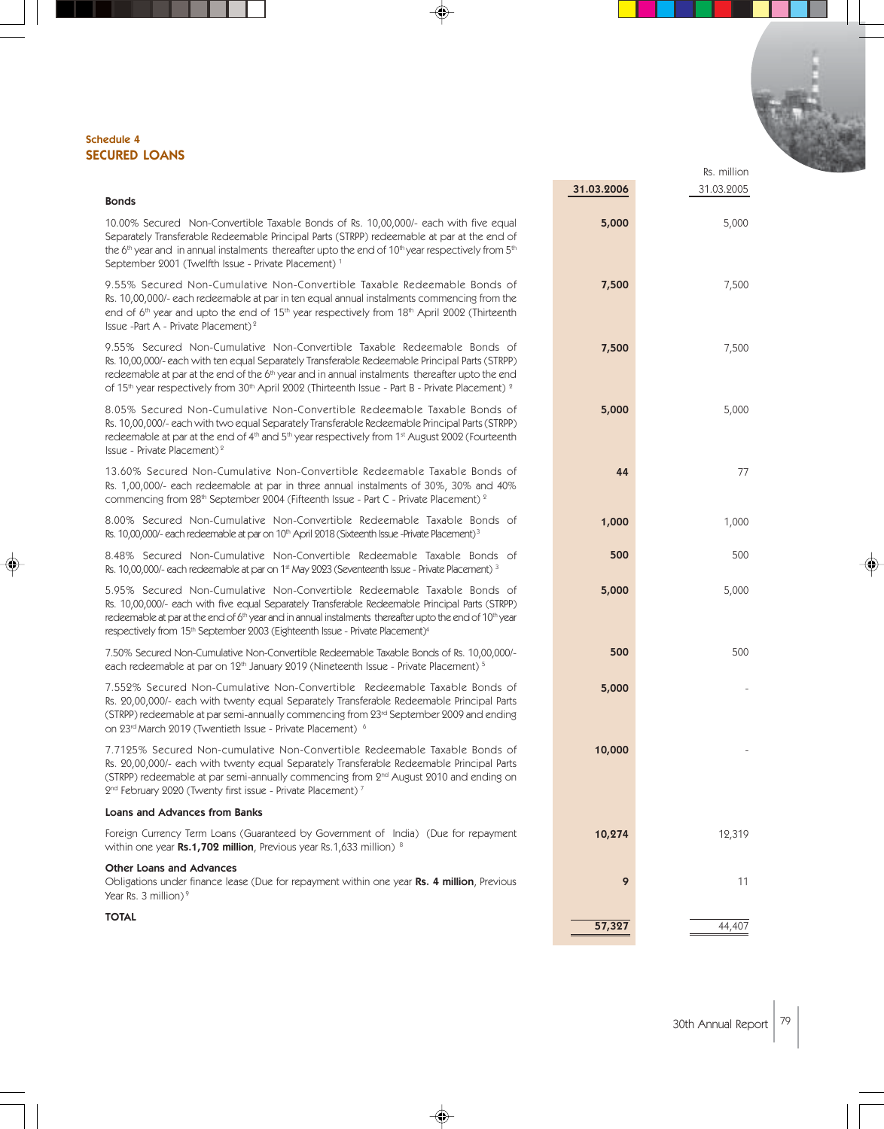#### Schedule 4 SECURED LOANS

|                                                                                                                                                                                                                                                                                                                                                                                                                                 |            | Rs. million |
|---------------------------------------------------------------------------------------------------------------------------------------------------------------------------------------------------------------------------------------------------------------------------------------------------------------------------------------------------------------------------------------------------------------------------------|------------|-------------|
|                                                                                                                                                                                                                                                                                                                                                                                                                                 | 31.03.2006 | 31.03.2005  |
| <b>Bonds</b>                                                                                                                                                                                                                                                                                                                                                                                                                    |            |             |
| 10.00% Secured Non-Convertible Taxable Bonds of Rs. 10,00,000/- each with five equal<br>Separately Transferable Redeemable Principal Parts (STRPP) redeemable at par at the end of<br>the 6 <sup>th</sup> year and in annual instalments thereafter upto the end of $10th$ year respectively from $5th$<br>September 2001 (Twelfth Issue - Private Placement) <sup>1</sup>                                                      | 5,000      | 5,000       |
| 9.55% Secured Non-Cumulative Non-Convertible Taxable Redeemable Bonds of<br>Rs. 10,00,000/- each redeemable at par in ten equal annual instalments commencing from the<br>end of 6 <sup>th</sup> year and upto the end of 15 <sup>th</sup> year respectively from 18 <sup>th</sup> April 2002 (Thirteenth<br>Issue -Part A - Private Placement) <sup>2</sup>                                                                    | 7,500      | 7,500       |
| 9.55% Secured Non-Cumulative Non-Convertible Taxable Redeemable Bonds of<br>Rs. 10,00,000/- each with ten equal Separately Transferable Redeemable Principal Parts (STRPP)<br>redeemable at par at the end of the 6 <sup>th</sup> year and in annual instalments thereafter upto the end<br>of 15 <sup>th</sup> year respectively from 30 <sup>th</sup> April 2002 (Thirteenth Issue - Part B - Private Placement) <sup>2</sup> | 7,500      | 7,500       |
| 8.05% Secured Non-Cumulative Non-Convertible Redeemable Taxable Bonds of<br>Rs. 10,00,000/- each with two equal Separately Transferable Redeemable Principal Parts (STRPP)<br>redeemable at par at the end of 4 <sup>th</sup> and 5 <sup>th</sup> year respectively from 1 <sup>st</sup> August 2002 (Fourteenth<br>Issue - Private Placement) <sup>2</sup>                                                                     | 5,000      | 5,000       |
| 13.60% Secured Non-Cumulative Non-Convertible Redeemable Taxable Bonds of<br>Rs. 1,00,000/- each redeemable at par in three annual instalments of 30%, 30% and 40%<br>commencing from 28th September 2004 (Fifteenth Issue - Part C - Private Placement) <sup>2</sup>                                                                                                                                                           | 44         | 77          |
| 8.00% Secured Non-Cumulative Non-Convertible Redeemable Taxable Bonds of<br>Rs. 10,00,000/- each redeemable at par on 10th April 2018 (Sixteenth Issue -Private Placement) <sup>3</sup>                                                                                                                                                                                                                                         | 1,000      | 1,000       |
| 8.48% Secured Non-Cumulative Non-Convertible Redeemable Taxable Bonds of<br>Rs. 10,00,000/- each redeemable at par on 1 <sup>st</sup> May 2023 (Seventeenth Issue - Private Placement) 3                                                                                                                                                                                                                                        | 500        | 500         |
| 5.95% Secured Non-Cumulative Non-Convertible Redeemable Taxable Bonds of<br>Rs. 10,00,000/- each with five equal Separately Transferable Redeemable Principal Parts (STRPP)<br>redeemable at par at the end of 6 <sup>th</sup> year and in annual instalments thereafter upto the end of 10 <sup>th</sup> year<br>respectively from 15 <sup>th</sup> September 2003 (Eighteenth Issue - Private Placement) <sup>4</sup>         | 5,000      | 5,000       |
| 7.50% Secured Non-Cumulative Non-Convertible Redeemable Taxable Bonds of Rs. 10,00,000/-<br>each redeemable at par on 12 <sup>th</sup> January 2019 (Nineteenth Issue - Private Placement) <sup>5</sup>                                                                                                                                                                                                                         | 500        | 500         |
| 7.552% Secured Non-Cumulative Non-Convertible Redeemable Taxable Bonds of<br>Rs. 20,00,000/- each with twenty equal Separately Transferable Redeemable Principal Parts<br>(STRPP) redeemable at par semi-annually commencing from 23rd September 2009 and ending<br>on 23rd March 2019 (Twentieth Issue - Private Placement) 6                                                                                                  | 5,000      |             |
| 7.7125% Secured Non-cumulative Non-Convertible Redeemable Taxable Bonds of<br>Rs. 20,00,000/- each with twenty equal Separately Transferable Redeemable Principal Parts<br>(STRPP) redeemable at par semi-annually commencing from 2 <sup>nd</sup> August 2010 and ending on<br>2 <sup>nd</sup> February 2020 (Twenty first issue - Private Placement) <sup>7</sup>                                                             | 10,000     |             |
| <b>Loans and Advances from Banks</b>                                                                                                                                                                                                                                                                                                                                                                                            |            |             |
| Foreign Currency Term Loans (Guaranteed by Government of India) (Due for repayment<br>within one year Rs.1,702 million, Previous year Rs.1,633 million) 8                                                                                                                                                                                                                                                                       | 10,274     | 12,319      |
| <b>Other Loans and Advances</b><br>Obligations under finance lease (Due for repayment within one year Rs. 4 million, Previous<br>Year Rs. 3 million) $9$                                                                                                                                                                                                                                                                        | 9          | 11          |
| <b>TOTAL</b>                                                                                                                                                                                                                                                                                                                                                                                                                    | 57,327     | 44,407      |

◈

 $\bigcirc \hspace{-1.4mm} \bigcirc$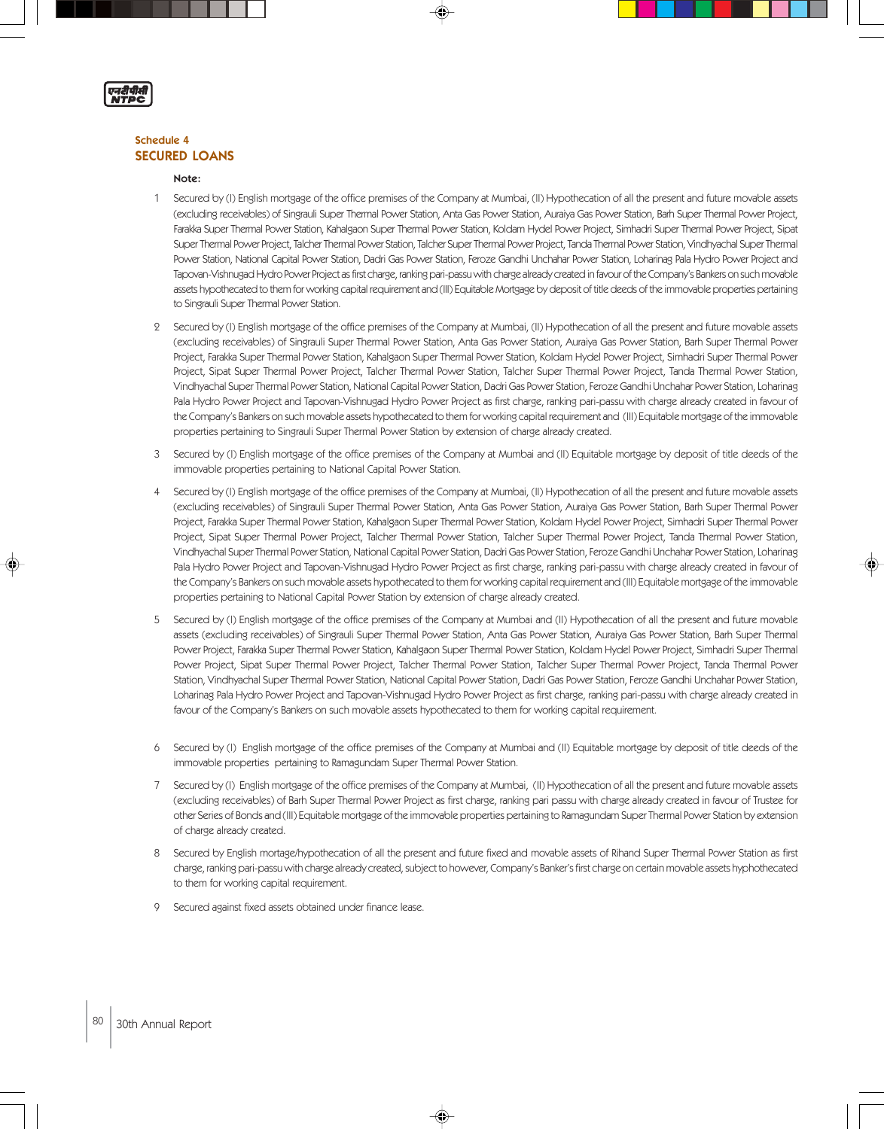

#### Schedule 4 SECURED LOANS

#### Note:

- 1 Secured by (I) English mortgage of the office premises of the Company at Mumbai, (II) Hypothecation of all the present and future movable assets (excluding receivables) of Singrauli Super Thermal Power Station, Anta Gas Power Station, Auraiya Gas Power Station, Barh Super Thermal Power Project, Farakka Super Thermal Power Station, Kahalgaon Super Thermal Power Station, Koldam Hydel Power Project, Simhadri Super Thermal Power Project, Sipat Super Thermal Power Project, Talcher Thermal Power Station, Talcher Super Thermal Power Project, Tanda Thermal Power Station, Vindhyachal Super Thermal Power Station, National Capital Power Station, Dadri Gas Power Station, Feroze Gandhi Unchahar Power Station, Loharinag Pala Hydro Power Project and Tapovan-Vishnugad Hydro Power Project as first charge, ranking pari-passu with charge already created in favour of the Company's Bankers on such movable assets hypothecated to them for working capital requirement and (III) Equitable Mortgage by deposit of title deeds of the immovable properties pertaining to Singrauli Super Thermal Power Station.
- 2 Secured by (I) English mortgage of the office premises of the Company at Mumbai, (II) Hypothecation of all the present and future movable assets (excluding receivables) of Singrauli Super Thermal Power Station, Anta Gas Power Station, Auraiya Gas Power Station, Barh Super Thermal Power Project, Farakka Super Thermal Power Station, Kahalgaon Super Thermal Power Station, Koldam Hydel Power Project, Simhadri Super Thermal Power Project, Sipat Super Thermal Power Project, Talcher Thermal Power Station, Talcher Super Thermal Power Project, Tanda Thermal Power Station, Vindhyachal Super Thermal Power Station, National Capital Power Station, Dadri Gas Power Station, Feroze Gandhi Unchahar Power Station, Loharinag Pala Hydro Power Project and Tapovan-Vishnugad Hydro Power Project as first charge, ranking pari-passu with charge already created in favour of the Company's Bankers on such movable assets hypothecated to them for working capital requirement and (III) Equitable mortgage of the immovable properties pertaining to Singrauli Super Thermal Power Station by extension of charge already created.
- 3 Secured by (I) English mortgage of the office premises of the Company at Mumbai and (II) Equitable mortgage by deposit of title deeds of the immovable properties pertaining to National Capital Power Station.
- Secured by (I) English mortgage of the office premises of the Company at Mumbai, (II) Hypothecation of all the present and future movable assets (excluding receivables) of Singrauli Super Thermal Power Station, Anta Gas Power Station, Auraiya Gas Power Station, Barh Super Thermal Power Project, Farakka Super Thermal Power Station, Kahalgaon Super Thermal Power Station, Koldam Hydel Power Project, Simhadri Super Thermal Power Project, Sipat Super Thermal Power Project, Talcher Thermal Power Station, Talcher Super Thermal Power Project, Tanda Thermal Power Station, Vindhyachal Super Thermal Power Station, National Capital Power Station, Dadri Gas Power Station, Feroze Gandhi Unchahar Power Station, Loharinag Pala Hydro Power Project and Tapovan-Vishnugad Hydro Power Project as first charge, ranking pari-passu with charge already created in favour of the Company's Bankers on such movable assets hypothecated to them for working capital requirement and (III) Equitable mortgage of the immovable properties pertaining to National Capital Power Station by extension of charge already created.
- 5 Secured by (I) English mortgage of the office premises of the Company at Mumbai and (II) Hypothecation of all the present and future movable assets (excluding receivables) of Singrauli Super Thermal Power Station, Anta Gas Power Station, Auraiya Gas Power Station, Barh Super Thermal Power Project, Farakka Super Thermal Power Station, Kahalgaon Super Thermal Power Station, Koldam Hydel Power Project, Simhadri Super Thermal Power Project, Sipat Super Thermal Power Project, Talcher Thermal Power Station, Talcher Super Thermal Power Project, Tanda Thermal Power Station, Vindhyachal Super Thermal Power Station, National Capital Power Station, Dadri Gas Power Station, Feroze Gandhi Unchahar Power Station, Loharinag Pala Hydro Power Project and Tapovan-Vishnugad Hydro Power Project as first charge, ranking pari-passu with charge already created in favour of the Company's Bankers on such movable assets hypothecated to them for working capital requirement.
- 6 Secured by (I) English mortgage of the office premises of the Company at Mumbai and (II) Equitable mortgage by deposit of title deeds of the immovable properties pertaining to Ramagundam Super Thermal Power Station.
- 7 Secured by (I) English mortgage of the office premises of the Company at Mumbai, (II) Hypothecation of all the present and future movable assets (excluding receivables) of Barh Super Thermal Power Project as first charge, ranking pari passu with charge already created in favour of Trustee for other Series of Bonds and (III) Equitable mortgage of the immovable properties pertaining to Ramagundam Super Thermal Power Station by extension of charge already created.
- 8 Secured by English mortage/hypothecation of all the present and future fixed and movable assets of Rihand Super Thermal Power Station as first charge, ranking pari-passu with charge already created, subject to however, Company's Banker's first charge on certain movable assets hyphothecated to them for working capital requirement.

◈

9 Secured against fixed assets obtained under finance lease.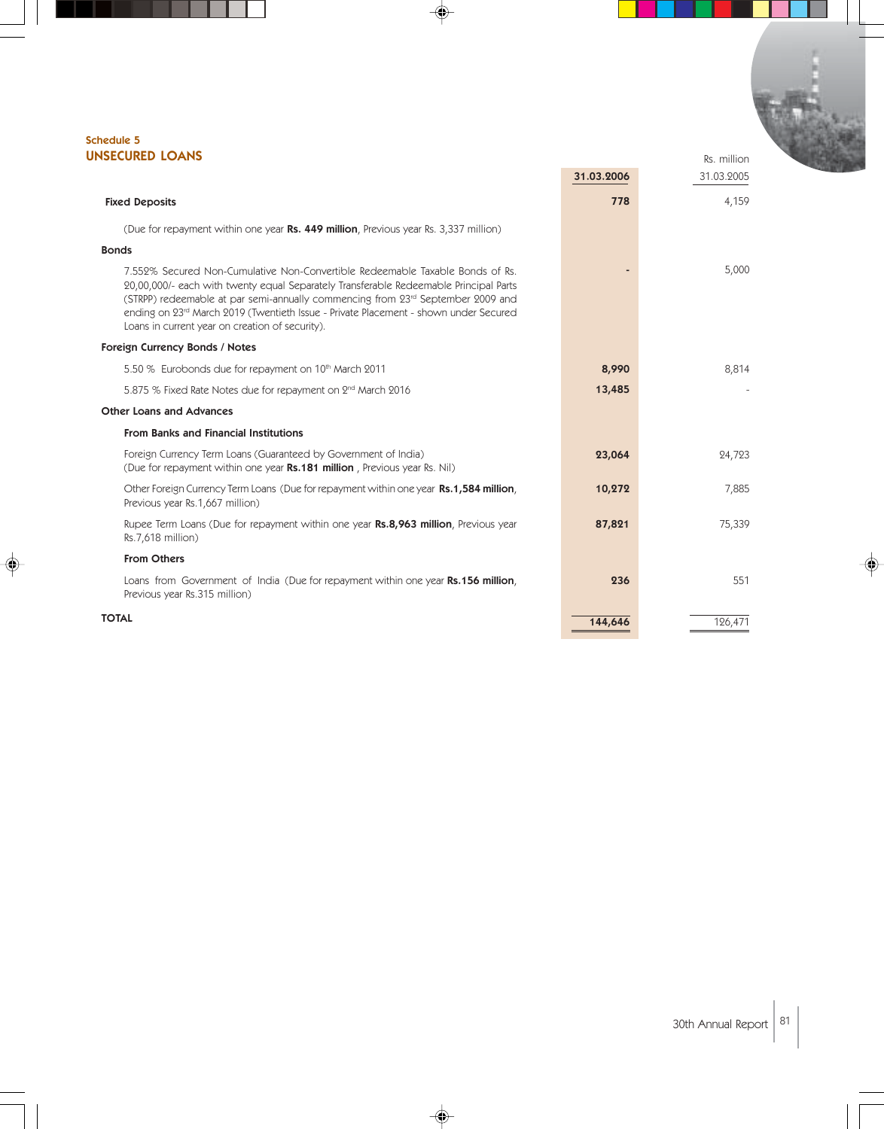#### Schedule 5 UNSECURED LOANS

| <b>NSECURED LOANS</b>                                                                                                                                                                                                                                                                                                                                                                                  |            | Rs. million |  |
|--------------------------------------------------------------------------------------------------------------------------------------------------------------------------------------------------------------------------------------------------------------------------------------------------------------------------------------------------------------------------------------------------------|------------|-------------|--|
|                                                                                                                                                                                                                                                                                                                                                                                                        | 31.03.2006 | 31.03.2005  |  |
| <b>Fixed Deposits</b>                                                                                                                                                                                                                                                                                                                                                                                  | 778        | 4,159       |  |
| (Due for repayment within one year Rs. 449 million, Previous year Rs. 3,337 million)                                                                                                                                                                                                                                                                                                                   |            |             |  |
| <b>Bonds</b>                                                                                                                                                                                                                                                                                                                                                                                           |            |             |  |
| 7.552% Secured Non-Cumulative Non-Convertible Redeemable Taxable Bonds of Rs.<br>20,00,000/- each with twenty equal Separately Transferable Redeemable Principal Parts<br>(STRPP) redeemable at par semi-annually commencing from $23rd$ September 2009 and<br>ending on 23rd March 2019 (Twentieth Issue - Private Placement - shown under Secured<br>Loans in current year on creation of security). |            | 5,000       |  |
| Foreign Currency Bonds / Notes                                                                                                                                                                                                                                                                                                                                                                         |            |             |  |
| 5.50 % Eurobonds due for repayment on 10th March 2011                                                                                                                                                                                                                                                                                                                                                  | 8,990      | 8,814       |  |
| 5.875 % Fixed Rate Notes due for repayment on 2 <sup>nd</sup> March 2016                                                                                                                                                                                                                                                                                                                               | 13,485     |             |  |
| <b>Other Loans and Advances</b>                                                                                                                                                                                                                                                                                                                                                                        |            |             |  |
| <b>From Banks and Financial Institutions</b>                                                                                                                                                                                                                                                                                                                                                           |            |             |  |
| Foreign Currency Term Loans (Guaranteed by Government of India)<br>(Due for repayment within one year Rs.181 million, Previous year Rs. Nil)                                                                                                                                                                                                                                                           | 23,064     | 24,723      |  |
| Other Foreign Currency Term Loans (Due for repayment within one year Rs.1,584 million,<br>Previous year Rs.1,667 million)                                                                                                                                                                                                                                                                              | 10,272     | 7,885       |  |
| Rupee Term Loans (Due for repayment within one year Rs.8,963 million, Previous year<br>Rs.7,618 million)                                                                                                                                                                                                                                                                                               | 87,821     | 75,339      |  |
| <b>From Others</b>                                                                                                                                                                                                                                                                                                                                                                                     |            |             |  |
| Loans from Government of India (Due for repayment within one year Rs.156 million,<br>Previous year Rs.315 million)                                                                                                                                                                                                                                                                                     | 236        | 551         |  |
| <b>TOTAL</b>                                                                                                                                                                                                                                                                                                                                                                                           | 144,646    | 126,471     |  |

◈

 $\spadesuit$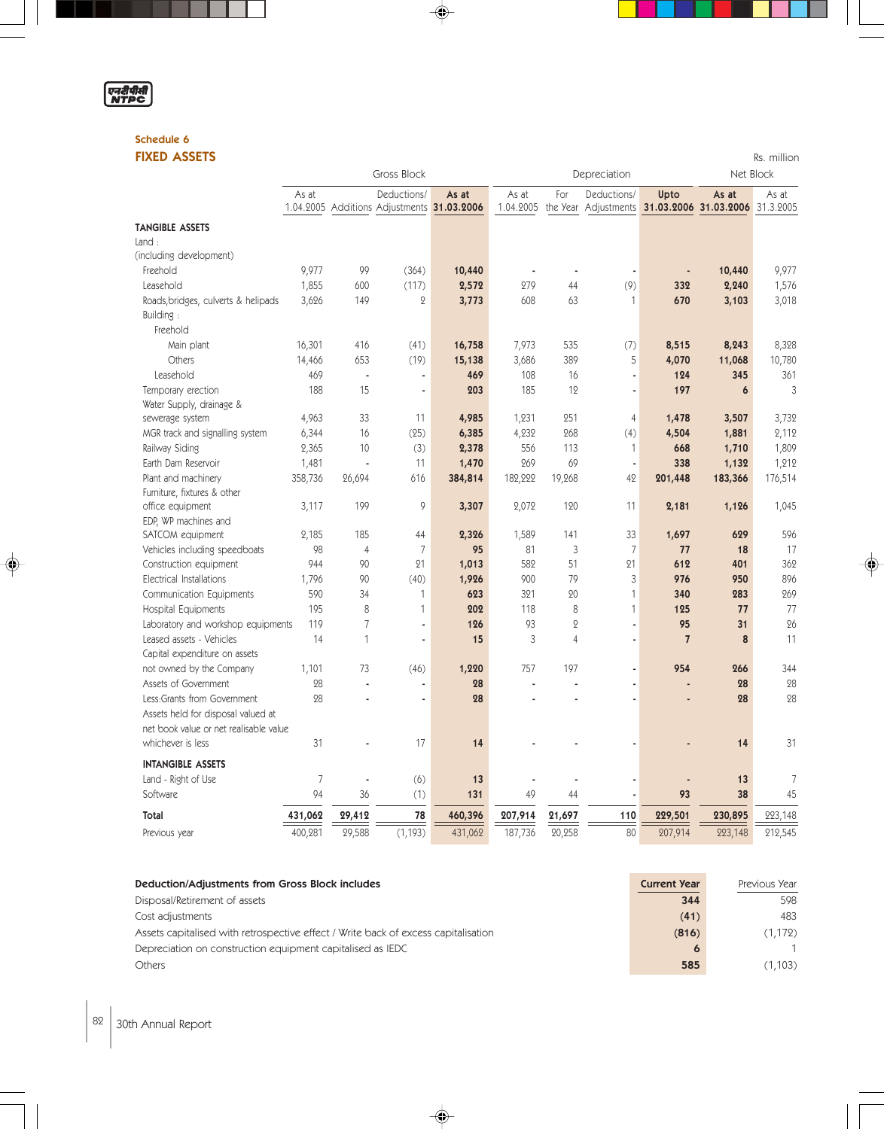

٠

◈

### Schedule 6

| <b>FIXED ASSETS</b>                    |         |                |                                                           |         |                    |                 |                                                            |                |           | Rs. million |
|----------------------------------------|---------|----------------|-----------------------------------------------------------|---------|--------------------|-----------------|------------------------------------------------------------|----------------|-----------|-------------|
|                                        |         |                | Gross Block                                               |         |                    |                 | Depreciation                                               |                | Net Block |             |
|                                        | As at   |                | Deductions/<br>1.04.2005 Additions Adjustments 31.03.2006 | As at   | As at<br>1.04.2005 | For<br>the Year | Deductions/<br>Adjustments 31.03.2006 31.03.2006 31.3.2005 | Upto           | As at     | As at       |
|                                        |         |                |                                                           |         |                    |                 |                                                            |                |           |             |
| <b>TANGIBLE ASSETS</b>                 |         |                |                                                           |         |                    |                 |                                                            |                |           |             |
| Land:                                  |         |                |                                                           |         |                    |                 |                                                            |                |           |             |
| (including development)                |         |                |                                                           |         |                    |                 |                                                            |                |           |             |
| Freehold                               | 9,977   | 99             | (364)                                                     | 10,440  |                    | ×               |                                                            |                | 10,440    | 9,977       |
| Leasehold                              | 1,855   | 600            | (117)                                                     | 2,572   | 279                | 44              | (9)                                                        | 332            | 2,240     | 1,576       |
| Roads, bridges, culverts & helipads    | 3,626   | 149            | $\mathbf 2$                                               | 3,773   | 608                | 63              | 1                                                          | 670            | 3,103     | 3,018       |
| Building:                              |         |                |                                                           |         |                    |                 |                                                            |                |           |             |
| Freehold                               |         |                |                                                           |         |                    |                 |                                                            |                |           |             |
| Main plant                             | 16,301  | 416            | (41)                                                      | 16,758  | 7,973              | 535             | (7)                                                        | 8,515          | 8,243     | 8,328       |
| Others                                 | 14,466  | 653            | (19)                                                      | 15,138  | 3,686              | 389             | 5                                                          | 4,070          | 11,068    | 10,780      |
| Leasehold                              | 469     | J.             | $\blacksquare$                                            | 469     | 108                | 16              | ä,                                                         | 124            | 345       | 361         |
| Temporary erection                     | 188     | 15             | ä,                                                        | 203     | 185                | 12              | ä,                                                         | 197            | 6         | 3           |
| Water Supply, drainage &               |         |                |                                                           |         |                    |                 |                                                            |                |           |             |
| sewerage system                        | 4,963   | 33             | 11                                                        | 4,985   | 1,231              | 251             | $\overline{4}$                                             | 1,478          | 3,507     | 3,732       |
| MGR track and signalling system        | 6,344   | 16             | (25)                                                      | 6,385   | 4,232              | 268             | (4)                                                        | 4,504          | 1,881     | 2,112       |
| Railway Siding                         | 2,365   | 10             | (3)                                                       | 2,378   | 556                | 113             | 1                                                          | 668            | 1,710     | 1,809       |
| Earth Dam Reservoir                    | 1,481   | J,             | 11                                                        | 1,470   | 269                | 69              | ä,                                                         | 338            | 1,132     | 1,212       |
| Plant and machinery                    | 358,736 | 26,694         | 616                                                       | 384,814 | 182,222            | 19,268          | 42                                                         | 201,448        | 183,366   | 176,514     |
| Furniture, fixtures & other            |         |                |                                                           |         |                    |                 |                                                            |                |           |             |
| office equipment                       | 3,117   | 199            | 9                                                         | 3,307   | 2,072              | 120             | 11                                                         | 2,181          | 1,126     | 1,045       |
| EDP, WP machines and                   |         |                |                                                           |         |                    |                 |                                                            |                |           |             |
| SATCOM equipment                       | 2,185   | 185            | 44                                                        | 2,326   | 1,589              | 141             | 33                                                         | 1,697          | 629       | 596         |
| Vehicles including speedboats          | 98      | $\overline{4}$ | $\overline{7}$                                            | 95      | 81                 | 3               | $\overline{7}$                                             | 77             | 18        | 17          |
| Construction equipment                 | 944     | 90             | 21                                                        | 1,013   | 582                | 51              | 21                                                         | 612            | 401       | 362         |
| <b>Electrical Installations</b>        | 1,796   | 90             | (40)                                                      | 1,926   | 900                | 79              | 3                                                          | 976            | 950       | 896         |
| Communication Equipments               | 590     | 34             | 1                                                         | 623     | 321                | 20              | $\mathbf{1}$                                               | 340            | 283       | 269         |
| <b>Hospital Equipments</b>             | 195     | 8              | 1                                                         | 202     | 118                | 8               | 1                                                          | 125            | 77        | 77          |
| Laboratory and workshop equipments     | 119     | $\overline{7}$ | ä,                                                        | 126     | 93                 | $\overline{2}$  | ä,                                                         | 95             | 31        | 26          |
| Leased assets - Vehicles               | 14      | $\mathbf{1}$   | ä,                                                        | 15      | 3                  | $\overline{4}$  | ä,                                                         | $\overline{7}$ | 8         | 11          |
| Capital expenditure on assets          |         |                |                                                           |         |                    |                 |                                                            |                |           |             |
| not owned by the Company               | 1,101   | 73             | (46)                                                      | 1,220   | 757                | 197             | ÷.                                                         | 954            | 266       | 344         |
| Assets of Government                   | 28      | J,             | ä,                                                        | 28      |                    |                 |                                                            |                | 28        | 28          |
| Less:Grants from Government            | 28      |                | L                                                         | 28      |                    |                 | ä,                                                         |                | 28        | 28          |
| Assets held for disposal valued at     |         |                |                                                           |         |                    |                 |                                                            |                |           |             |
| net book value or net realisable value |         |                |                                                           |         |                    |                 |                                                            |                |           |             |
| whichever is less                      | 31      |                | 17                                                        | 14      |                    |                 |                                                            |                | 14        | 31          |
|                                        |         |                |                                                           |         |                    |                 |                                                            |                |           |             |
| <b>INTANGIBLE ASSETS</b>               |         |                |                                                           |         |                    |                 |                                                            |                |           |             |
| Land - Right of Use                    | 7       |                | (6)                                                       | 13      |                    |                 |                                                            |                | 13        | 7           |
| Software                               | 94      | 36             | (1)                                                       | 131     | 49                 | 44              | ä,                                                         | 93             | 38        | 45          |
| Total                                  | 431,062 | 29,412         | 78                                                        | 460,396 | 207,914            | 21,697          | 110                                                        | 229,501        | 230,895   | 223,148     |
| Previous year                          | 400,281 | 29,588         | (1, 193)                                                  | 431,062 | 187,736            | 20,258          | 80                                                         | 207,914        | 223,148   | 212,545     |

 $\color{red} \blacklozenge$ 

J  $\overline{1}$ 

 $\color{red}\blacklozenge$ 

| Deduction/Adjustments from Gross Block includes                                    | <b>Current Year</b> | Previous Year |
|------------------------------------------------------------------------------------|---------------------|---------------|
| Disposal/Retirement of assets                                                      | 344                 | 598           |
| Cost adjustments                                                                   | (41)                | 483           |
| Assets capitalised with retrospective effect / Write back of excess capitalisation | (816)               | (1,172)       |
| Depreciation on construction equipment capitalised as IEDC                         |                     |               |
| Others                                                                             | 585                 | (1,103)       |

 $\Rightarrow$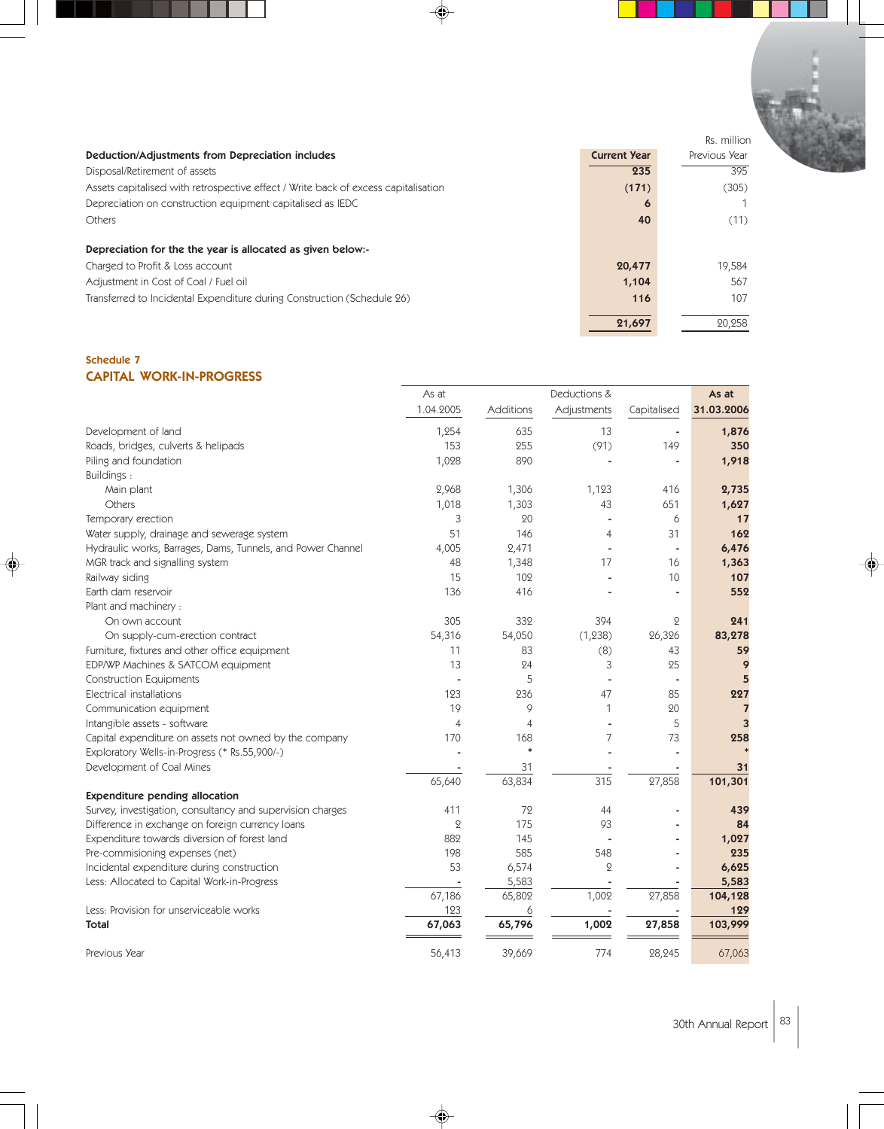|                                                                                    |                     | Rs. million   |
|------------------------------------------------------------------------------------|---------------------|---------------|
| Deduction/Adjustments from Depreciation includes                                   | <b>Current Year</b> | Previous Year |
| Disposal/Retirement of assets                                                      | 235                 | 395           |
| Assets capitalised with retrospective effect / Write back of excess capitalisation | (171)               | (305)         |
| Depreciation on construction equipment capitalised as IEDC                         | O                   |               |
| <b>Others</b>                                                                      | 40                  | (11)          |
| Depreciation for the the year is allocated as given below:-                        |                     |               |
| Charged to Profit & Loss account                                                   | 20,477              | 19.584        |
| Adjustment in Cost of Coal / Fuel oil                                              | 1,104               | 567           |
| Transferred to Incidental Expenditure during Construction (Schedule 26)            | 116                 | 107           |
|                                                                                    | 21,697              | 20.258        |

 $\mathcal{L}$ 

¢

#### Schedule 7 CAPITAL WORK-IN-PROGRESS

|                                                             | As at          |                | Deductions &     |             | As at          |  |
|-------------------------------------------------------------|----------------|----------------|------------------|-------------|----------------|--|
|                                                             | 1.04.2005      | Additions      | Adjustments      | Capitalised | 31.03.2006     |  |
| Development of land                                         | 1,254          | 635            | 13               |             | 1,876          |  |
| Roads, bridges, culverts & helipads                         | 153            | 255            | (91)             | 149         | 350            |  |
| Piling and foundation                                       | 1,028          | 890            |                  |             | 1,918          |  |
| Buildings:                                                  |                |                |                  |             |                |  |
| Main plant                                                  | 2,968          | 1,306          | 1,123            | 416         | 2,735          |  |
| Others                                                      | 1,018          | 1,303          | 43               | 651         | 1,627          |  |
| Temporary erection                                          | 3              | 20             |                  | 6           | 17             |  |
| Water supply, drainage and sewerage system                  | 51             | 146            | $\overline{4}$   | 31          | 162            |  |
| Hydraulic works, Barrages, Dams, Tunnels, and Power Channel | 4,005          | 2,471          |                  |             | 6,476          |  |
| MGR track and signalling system                             | 48             | 1,348          | 17               | 16          | 1,363          |  |
| Railway siding                                              | 15             | 102            |                  | 10          | 107            |  |
| Earth dam reservoir                                         | 136            | 416            |                  |             | 552            |  |
| Plant and machinery :                                       |                |                |                  |             |                |  |
| On own account                                              | 305            | 332            | 394              | $\mathbf 2$ | 241            |  |
| On supply-cum-erection contract                             | 54,316         | 54,050         | (1, 238)         | 26,326      | 83,278         |  |
| Furniture, fixtures and other office equipment              | 11             | 83             | (8)              | 43          | 59             |  |
| EDP/WP Machines & SATCOM equipment                          | 13             | 24             | 3                | 25          | 9              |  |
| <b>Construction Equipments</b>                              |                | 5              |                  |             | 5              |  |
| Electrical installations                                    | 123            | 236            | 47               | 85          | 227            |  |
| Communication equipment                                     | 19             | 9              | 1                | 20          | $\overline{7}$ |  |
| Intangible assets - software                                | 4              | $\overline{4}$ |                  | 5           | 3              |  |
| Capital expenditure on assets not owned by the company      | 170            | 168            | 7                | 73          | 258            |  |
| Exploratory Wells-in-Progress (* Rs.55,900/-)               |                | $\ast$         |                  |             |                |  |
| Development of Coal Mines                                   |                | 31             |                  |             | 31             |  |
|                                                             | 65,640         | 63,834         | $\overline{315}$ | 27,858      | 101,301        |  |
| <b>Expenditure pending allocation</b>                       |                |                |                  |             |                |  |
| Survey, investigation, consultancy and supervision charges  | 411            | 72             | 44               |             | 439            |  |
| Difference in exchange on foreign currency loans            | $\overline{2}$ | 175            | 93               |             | 84             |  |
| Expenditure towards diversion of forest land                | 882            | 145            |                  |             | 1,027          |  |
| Pre-commisioning expenses (net)                             | 198            | 585            | 548              |             | 235            |  |
| Incidental expenditure during construction                  | 53             | 6,574          | $\Omega$         |             | 6,625          |  |
| Less: Allocated to Capital Work-in-Progress                 |                | 5,583          |                  |             | 5,583          |  |
|                                                             | 67,186         | 65,802         | 1,002            | 27,858      | 104,128        |  |
| Less: Provision for unserviceable works                     | 123            | 6              |                  |             | 129            |  |
| <b>Total</b>                                                | 67,063         | 65,796         | 1,002            | 27,858      | 103,999        |  |
| Previous Year                                               | 56,413         | 39,669         | 774              | 28,245      | 67,063         |  |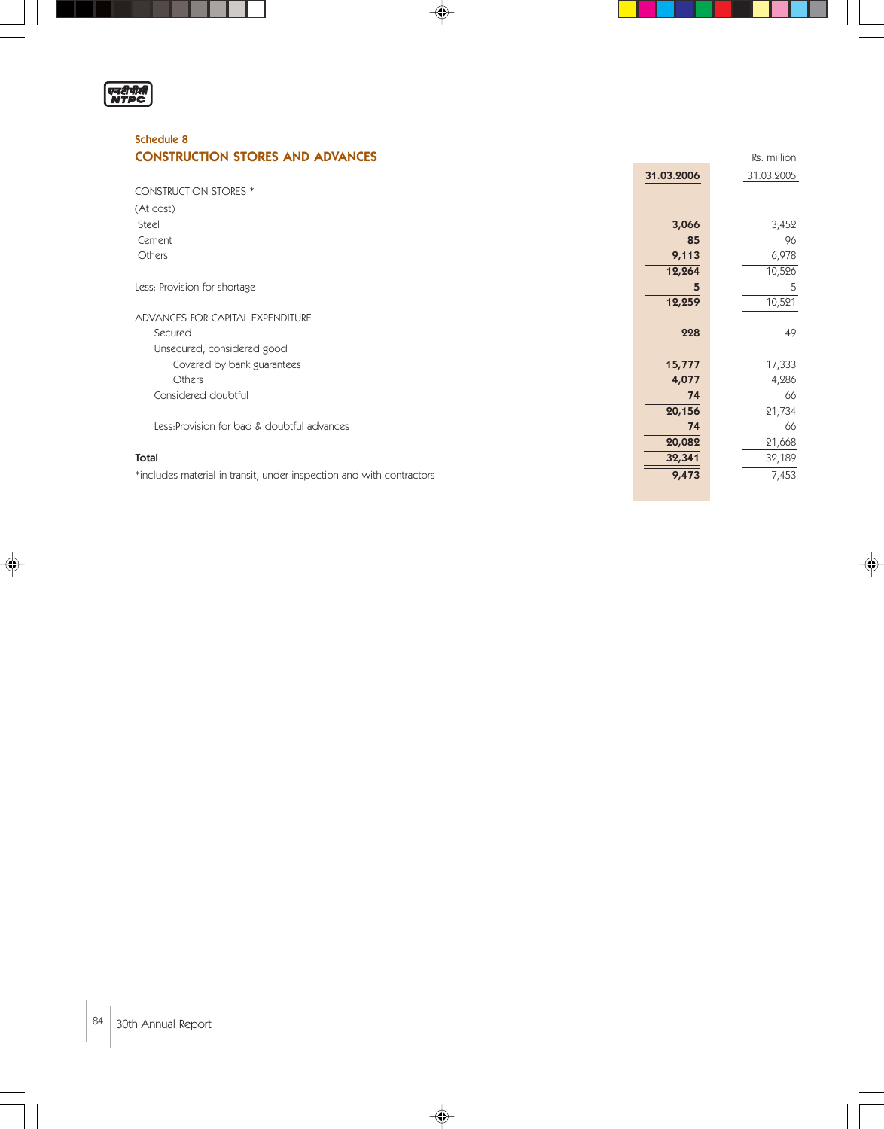

 $\blacksquare$ 

ı

◈

### Schedule 8 **CONSTRUCTION STORES AND ADVANCES EXAMPLE 2008 RS. million**

|                                                                      | 31.03.2006 | 31.03.2005 |
|----------------------------------------------------------------------|------------|------------|
| <b>CONSTRUCTION STORES *</b>                                         |            |            |
| (At cost)                                                            |            |            |
| Steel                                                                | 3,066      | 3,452      |
| Cement                                                               | 85         | 96         |
| Others                                                               | 9,113      | 6,978      |
|                                                                      | 12,264     | 10,526     |
| Less: Provision for shortage                                         | 5          | 5          |
|                                                                      | 12,259     | 10,521     |
| ADVANCES FOR CAPITAL EXPENDITURE                                     |            |            |
| Secured                                                              | 228        | 49         |
| Unsecured, considered good                                           |            |            |
| Covered by bank guarantees                                           | 15,777     | 17,333     |
| Others                                                               | 4,077      | 4,286      |
| Considered doubtful                                                  | 74         | 66         |
|                                                                      | 20,156     | 21,734     |
| Less: Provision for bad & doubtful advances                          | 74         | 66         |
|                                                                      | 20,082     | 21,668     |
| Total                                                                | 32,341     | 32,189     |
| *includes material in transit, under inspection and with contractors | 9,473      | 7,453      |

 $\Rightarrow$ 

 $\Rightarrow$ 

 $\mathcal{L}_{\mathcal{A}}$ 

 $\mathbb{I}$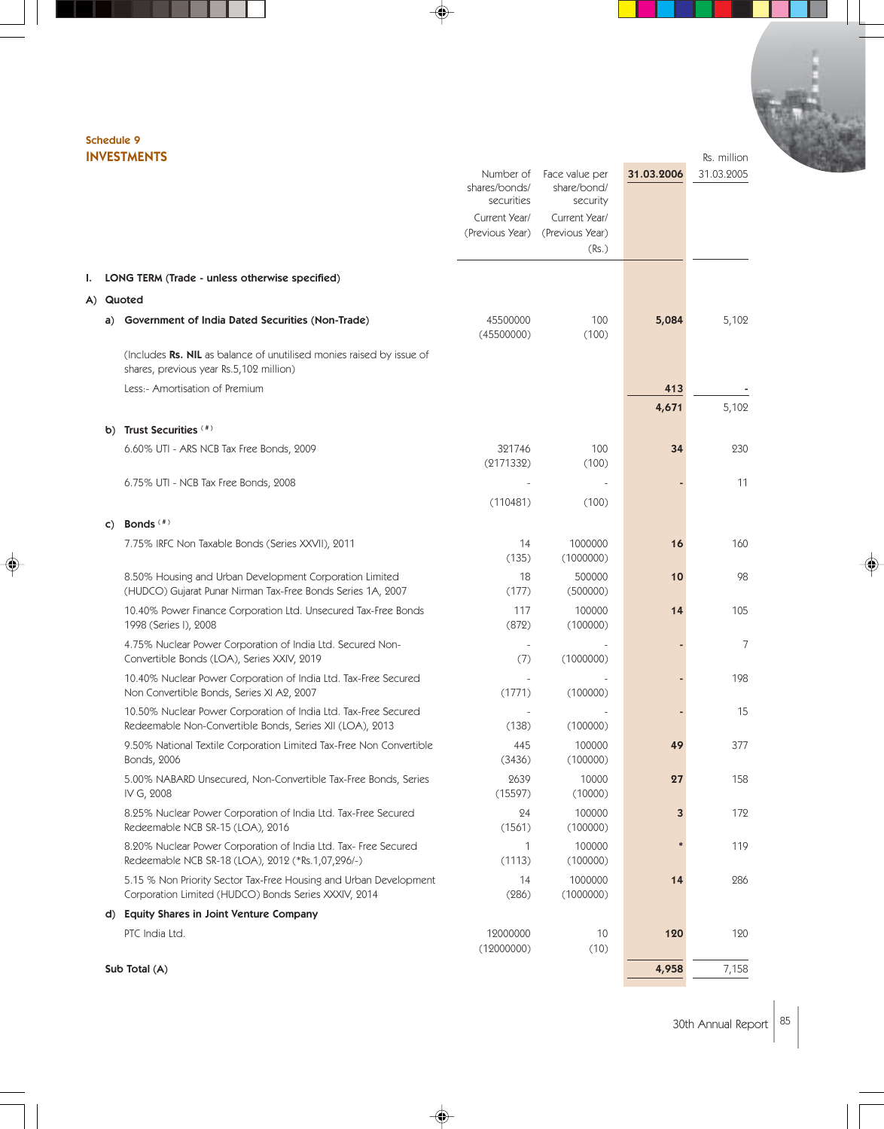#### Schedule 9 INVESTMENTS Rs. million

|    |                                                                                                                             | shares/bonds/<br>securities<br>Current Year/<br>(Previous Year) | Number of Face value per<br>share/bond/<br>security<br>Current Year/<br>(Previous Year)<br>(Rs.) | 31.03.2006 | 31.03.2005 |
|----|-----------------------------------------------------------------------------------------------------------------------------|-----------------------------------------------------------------|--------------------------------------------------------------------------------------------------|------------|------------|
| ı. | LONG TERM (Trade - unless otherwise specified)                                                                              |                                                                 |                                                                                                  |            |            |
|    | A) Quoted                                                                                                                   |                                                                 |                                                                                                  |            |            |
|    | Government of India Dated Securities (Non-Trade)<br>a)                                                                      | 45500000<br>(45500000)                                          | 100<br>(100)                                                                                     | 5,084      | 5,102      |
|    | (Includes Rs. NIL as balance of unutilised monies raised by issue of<br>shares, previous year Rs.5,102 million)             |                                                                 |                                                                                                  |            |            |
|    | Less:- Amortisation of Premium                                                                                              |                                                                 |                                                                                                  | 413        |            |
|    |                                                                                                                             |                                                                 |                                                                                                  | 4,671      | 5,102      |
|    | Trust Securities (#)<br>b)                                                                                                  |                                                                 |                                                                                                  |            |            |
|    | 6.60% UTI - ARS NCB Tax Free Bonds, 2009                                                                                    | 321746<br>(2171332)                                             | 100<br>(100)                                                                                     | 34         | 230        |
|    | 6.75% UTI - NCB Tax Free Bonds, 2008                                                                                        |                                                                 |                                                                                                  |            | 11         |
|    |                                                                                                                             | (110481)                                                        | (100)                                                                                            |            |            |
|    | Bonds $($ #)<br>$\mathsf{C}$                                                                                                |                                                                 |                                                                                                  |            |            |
|    | 7.75% IRFC Non Taxable Bonds (Series XXVII), 2011                                                                           | 14<br>(135)                                                     | 1000000<br>(1000000)                                                                             | 16         | 160        |
|    | 8.50% Housing and Urban Development Corporation Limited<br>(HUDCO) Gujarat Punar Nirman Tax-Free Bonds Series 1A, 2007      | 18<br>(177)                                                     | 500000<br>(500000)                                                                               | 10         | 98         |
|    | 10.40% Power Finance Corporation Ltd. Unsecured Tax-Free Bonds<br>1998 (Series I), 2008                                     | 117<br>(872)                                                    | 100000<br>(100000)                                                                               | 14         | 105        |
|    | 4.75% Nuclear Power Corporation of India Ltd. Secured Non-<br>Convertible Bonds (LOA), Series XXIV, 2019                    | (7)                                                             | (1000000)                                                                                        |            | 7          |
|    | 10.40% Nuclear Power Corporation of India Ltd. Tax-Free Secured<br>Non Convertible Bonds, Series XI A2, 2007                | (1771)                                                          | (100000)                                                                                         |            | 198        |
|    | 10.50% Nuclear Power Corporation of India Ltd. Tax-Free Secured<br>Redeemable Non-Convertible Bonds, Series XII (LOA), 2013 | (138)                                                           | (100000)                                                                                         |            | 15         |
|    | 9.50% National Textile Corporation Limited Tax-Free Non Convertible<br>Bonds, 2006                                          | 445<br>(3436)                                                   | 100000<br>(100000)                                                                               | 49         | 377        |
|    | 5.00% NABARD Unsecured, Non-Convertible Tax-Free Bonds, Series<br>IV G, 2008                                                | 2639<br>(15597)                                                 | 10000<br>(10000)                                                                                 | 27         | 158        |
|    | 8.25% Nuclear Power Corporation of India Ltd. Tax-Free Secured<br>Redeemable NCB SR-15 (LOA), 2016                          | 24<br>(1561)                                                    | 100000<br>(100000)                                                                               | 3          | 172        |
|    | 8.20% Nuclear Power Corporation of India Ltd. Tax- Free Secured<br>Redeemable NCB SR-18 (LOA), 2012 (*Rs.1,07,296/-)        | 1<br>(1113)                                                     | 100000<br>(100000)                                                                               |            | 119        |
|    | 5.15 % Non Priority Sector Tax-Free Housing and Urban Development<br>Corporation Limited (HUDCO) Bonds Series XXXIV, 2014   | 14<br>(286)                                                     | 1000000<br>(1000000)                                                                             | 14         | 286        |
|    | d) Equity Shares in Joint Venture Company                                                                                   |                                                                 |                                                                                                  |            |            |
|    | PTC India Ltd.                                                                                                              | 12000000<br>(12000000)                                          | 10<br>(10)                                                                                       | 120        | 120        |
|    | Sub Total (A)                                                                                                               |                                                                 |                                                                                                  | 4,958      | 7,158      |

 $\spadesuit$ 

 $\spadesuit$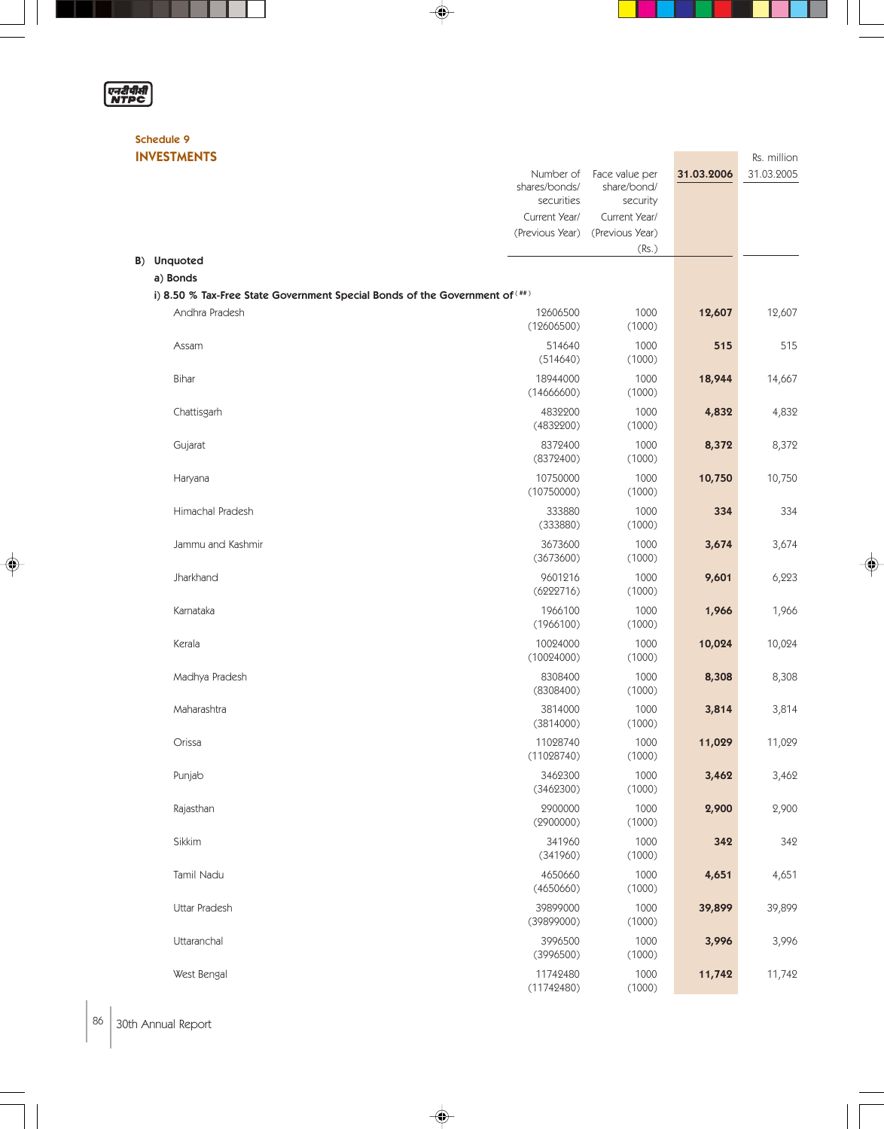# एनरीपीसी

 $\blacksquare$ 

L

◈

#### Schedule 9 INVESTMENTS Rs. million

|                                                                             | Number of<br>shares/bonds/<br>securities<br>Current Year/<br>(Previous Year) | Face value per<br>share/bond/<br>security<br>Current Year/<br>(Previous Year) | 31.03.2006 | 31.03.2005 |
|-----------------------------------------------------------------------------|------------------------------------------------------------------------------|-------------------------------------------------------------------------------|------------|------------|
|                                                                             |                                                                              | (Rs.)                                                                         |            |            |
| B) Unquoted<br>a) Bonds                                                     |                                                                              |                                                                               |            |            |
| i) 8.50 % Tax-Free State Government Special Bonds of the Government of (##) |                                                                              |                                                                               |            |            |
| Andhra Pradesh                                                              | 12606500<br>(12606500)                                                       | 1000<br>(1000)                                                                | 12,607     | 12,607     |
| Assam                                                                       | 514640<br>(514640)                                                           | 1000<br>(1000)                                                                | 515        | 515        |
| Bihar                                                                       | 18944000<br>(14666600)                                                       | 1000<br>(1000)                                                                | 18,944     | 14,667     |
| Chattisgarh                                                                 | 4832200<br>(4832200)                                                         | 1000<br>(1000)                                                                | 4,832      | 4,832      |
| Gujarat                                                                     | 8372400<br>(8372400)                                                         | 1000<br>(1000)                                                                | 8,372      | 8,372      |
| Haryana                                                                     | 10750000<br>(10750000)                                                       | 1000<br>(1000)                                                                | 10,750     | 10,750     |
| Himachal Pradesh                                                            | 333880<br>(333880)                                                           | 1000<br>(1000)                                                                | 334        | 334        |
| Jammu and Kashmir                                                           | 3673600<br>(3673600)                                                         | 1000<br>(1000)                                                                | 3,674      | 3,674      |
| Jharkhand                                                                   | 9601216<br>(6222716)                                                         | 1000<br>(1000)                                                                | 9,601      | 6,223      |
| Karnataka                                                                   | 1966100<br>(1966100)                                                         | 1000<br>(1000)                                                                | 1,966      | 1,966      |
| Kerala                                                                      | 10024000<br>(10024000)                                                       | 1000<br>(1000)                                                                | 10,024     | 10,024     |
| Madhya Pradesh                                                              | 8308400<br>(8308400)                                                         | 1000<br>(1000)                                                                | 8,308      | 8,308      |
| Maharashtra                                                                 | 3814000<br>(3814000)                                                         | 1000<br>(1000)                                                                | 3,814      | 3,814      |
| Orissa                                                                      | 11028740<br>(11028740)                                                       | 1000<br>(1000)                                                                | 11,029     | 11,029     |
| Punjab                                                                      | 3462300<br>(3462300)                                                         | 1000<br>(1000)                                                                | 3,462      | 3,462      |
| Rajasthan                                                                   | 2900000<br>(2900000)                                                         | 1000<br>(1000)                                                                | 2,900      | 2,900      |
| Sikkim                                                                      | 341960<br>(341960)                                                           | 1000<br>(1000)                                                                | 342        | 342        |
| Tamil Nadu                                                                  | 4650660<br>(4650660)                                                         | 1000<br>(1000)                                                                | 4,651      | 4,651      |
| Uttar Pradesh                                                               | 39899000<br>(39899000)                                                       | 1000<br>(1000)                                                                | 39,899     | 39,899     |
| Uttaranchal                                                                 | 3996500<br>(3996500)                                                         | 1000<br>(1000)                                                                | 3,996      | 3,996      |
| West Bengal                                                                 | 11742480<br>(11742480)                                                       | 1000<br>(1000)                                                                | 11,742     | 11,742     |

 $\Rightarrow$ 

♦

 $\begin{array}{c} \begin{array}{c} \end{array} \end{array}$ 

 $\color{red}\blacklozenge$ 

ш

86 30th Annual Report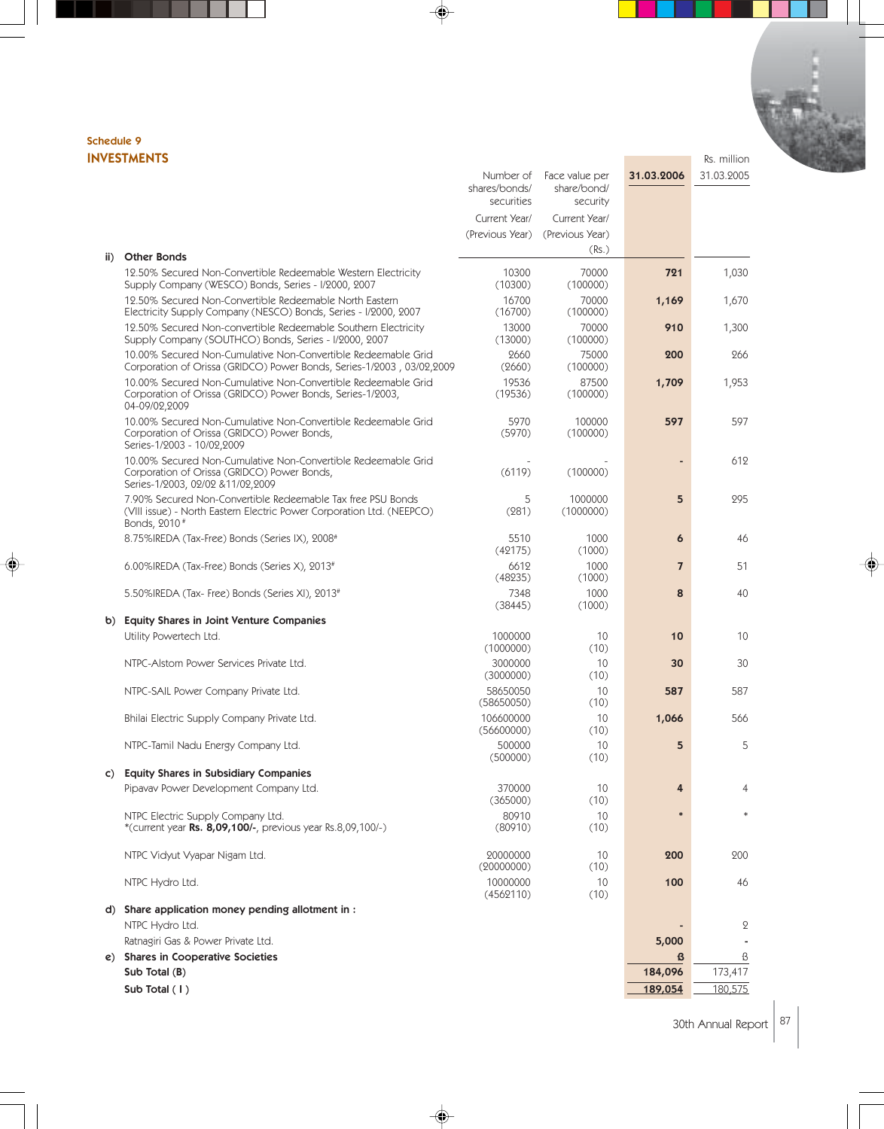# Schedule 9

|     | <b>INVESTMENTS</b>                                                                                                                                               |                                                                              |                                                                               |                | Rs. million |
|-----|------------------------------------------------------------------------------------------------------------------------------------------------------------------|------------------------------------------------------------------------------|-------------------------------------------------------------------------------|----------------|-------------|
|     |                                                                                                                                                                  | Number of<br>shares/bonds/<br>securities<br>Current Year/<br>(Previous Year) | Face value per<br>share/bond/<br>security<br>Current Year/<br>(Previous Year) | 31.03.2006     | 31.03.2005  |
| ii) | <b>Other Bonds</b>                                                                                                                                               |                                                                              | (Rs.)                                                                         |                |             |
|     | 12.50% Secured Non-Convertible Redeemable Western Electricity<br>Supply Company (WESCO) Bonds, Series - I/2000, 2007                                             | 10300<br>(10300)                                                             | 70000<br>(100000)                                                             | 721            | 1,030       |
|     | 12.50% Secured Non-Convertible Redeemable North Eastern<br>Electricity Supply Company (NESCO) Bonds, Series - I/2000, 2007                                       | 16700<br>(16700)                                                             | 70000<br>(100000)                                                             | 1,169          | 1,670       |
|     | 12.50% Secured Non-convertible Redeemable Southern Electricity<br>Supply Company (SOUTHCO) Bonds, Series - 1/2000, 2007                                          | 13000<br>(13000)                                                             | 70000<br>(100000)                                                             | 910            | 1,300       |
|     | 10.00% Secured Non-Cumulative Non-Convertible Redeemable Grid<br>Corporation of Orissa (GRIDCO) Power Bonds, Series-1/2003, 03/02,2009                           | 2660<br>(2660)                                                               | 75000<br>(100000)                                                             | 200            | 266         |
|     | 10.00% Secured Non-Cumulative Non-Convertible Redeemable Grid<br>Corporation of Orissa (GRIDCO) Power Bonds, Series-1/2003,<br>04-09/02,2009                     | 19536<br>(19536)                                                             | 87500<br>(100000)                                                             | 1,709          | 1,953       |
|     | 10.00% Secured Non-Cumulative Non-Convertible Redeemable Grid<br>Corporation of Orissa (GRIDCO) Power Bonds,<br>Series-1/2003 - 10/02,2009                       | 5970<br>(5970)                                                               | 100000<br>(100000)                                                            | 597            | 597         |
|     | 10.00% Secured Non-Cumulative Non-Convertible Redeemable Grid<br>Corporation of Orissa (GRIDCO) Power Bonds,<br>Series-1/2003, 02/02 & 11/02, 2009               | (6119)                                                                       | (100000)                                                                      |                | 612         |
|     | 7.90% Secured Non-Convertible Redeemable Tax free PSU Bonds<br>(VIII issue) - North Eastern Electric Power Corporation Ltd. (NEEPCO)<br>Bonds, 2010 <sup>#</sup> | 5<br>(281)                                                                   | 1000000<br>(1000000)                                                          | 5              | 295         |
|     | 8.75% IREDA (Tax-Free) Bonds (Series IX), 2008 <sup>#</sup>                                                                                                      | 5510<br>(42175)                                                              | 1000<br>(1000)                                                                | 6              | 46          |
|     | $6.00\%$ IREDA (Tax-Free) Bonds (Series X), 2013 <sup>#</sup>                                                                                                    | 6612<br>(48235)                                                              | 1000<br>(1000)                                                                | $\overline{7}$ | 51          |
|     | 5.50%IREDA (Tax- Free) Bonds (Series XI), 2013#                                                                                                                  | 7348<br>(38445)                                                              | 1000<br>(1000)                                                                | 8              | 40          |
|     | b) Equity Shares in Joint Venture Companies                                                                                                                      |                                                                              |                                                                               |                |             |
|     | Utility Powertech Ltd.                                                                                                                                           | 1000000<br>(1000000)                                                         | 10<br>(10)                                                                    | 10             | 10          |
|     | NTPC-Alstom Power Services Private Ltd.                                                                                                                          | 3000000<br>(3000000)                                                         | 10<br>(10)                                                                    | 30             | 30          |
|     | NTPC-SAIL Power Company Private Ltd.                                                                                                                             | 58650050<br>(58650050)                                                       | 10<br>(10)                                                                    | 587            | 587         |
|     | Bhilai Electric Supply Company Private Ltd.                                                                                                                      | 106600000<br>(56600000)                                                      | 10<br>(10)                                                                    | 1,066          | 566         |
|     | NTPC-Tamil Nadu Energy Company Ltd.                                                                                                                              | 500000<br>(500000)                                                           | 10<br>(10)                                                                    | 5              | 5           |
| C)  | <b>Equity Shares in Subsidiary Companies</b>                                                                                                                     |                                                                              |                                                                               |                |             |
|     | Pipavav Power Development Company Ltd.                                                                                                                           | 370000<br>(365000)                                                           | 10<br>(10)                                                                    | 4              | 4           |
|     | NTPC Electric Supply Company Ltd.<br>*(current year Rs. 8,09,100/-, previous year Rs.8,09,100/-)                                                                 | 80910<br>(80910)                                                             | 10<br>(10)                                                                    |                |             |
|     | NTPC Vidyut Vyapar Nigam Ltd.                                                                                                                                    | 20000000<br>(20000000)                                                       | 10<br>(10)                                                                    | 200            | 200         |
|     | NTPC Hydro Ltd.                                                                                                                                                  | 10000000<br>(4562110)                                                        | 10<br>(10)                                                                    | 100            | 46          |
|     | d) Share application money pending allotment in :<br>NTPC Hydro Ltd.                                                                                             |                                                                              |                                                                               |                | 2           |
|     | Ratnagiri Gas & Power Private Ltd.                                                                                                                               |                                                                              |                                                                               | 5,000          |             |
|     | e) Shares in Cooperative Societies                                                                                                                               |                                                                              |                                                                               | ß              | ß           |
|     | Sub Total (B)                                                                                                                                                    |                                                                              |                                                                               | 184,096        | 173,417     |
|     | Sub Total (1)                                                                                                                                                    |                                                                              |                                                                               | 189,054        | 180,575     |

◈

♦

♦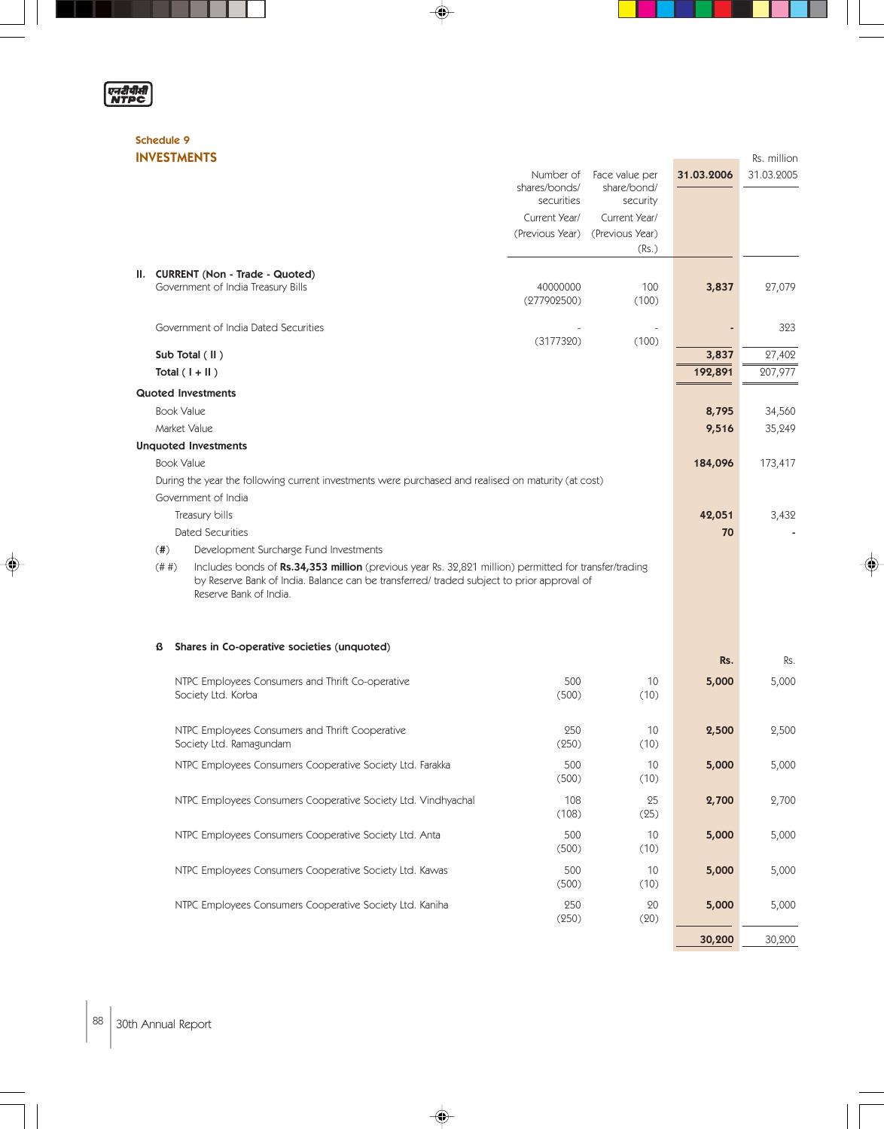| 20 | יייי |
|----|------|
|    |      |

◈

# Schedule 9

|   | <b>INVESTMENTS</b>                                                                                                                                                                                                                     |                                          |                                           |            | Rs. million |
|---|----------------------------------------------------------------------------------------------------------------------------------------------------------------------------------------------------------------------------------------|------------------------------------------|-------------------------------------------|------------|-------------|
|   |                                                                                                                                                                                                                                        | Number of<br>shares/bonds/<br>securities | Face value per<br>share/bond/<br>security | 31.03.2006 | 31.03.2005  |
|   |                                                                                                                                                                                                                                        | Current Year/                            | Current Year/                             |            |             |
|   |                                                                                                                                                                                                                                        | (Previous Year)                          | (Previous Year)                           |            |             |
|   |                                                                                                                                                                                                                                        |                                          | (Rs.)                                     |            |             |
|   | II. CURRENT (Non - Trade - Quoted)                                                                                                                                                                                                     |                                          |                                           |            |             |
|   | Government of India Treasury Bills                                                                                                                                                                                                     | 40000000<br>(277902500)                  | 100<br>(100)                              | 3,837      | 27,079      |
|   |                                                                                                                                                                                                                                        |                                          |                                           |            |             |
|   | Government of India Dated Securities                                                                                                                                                                                                   | (3177320)                                | (100)                                     |            | 323         |
|   | Sub Total (II)                                                                                                                                                                                                                         |                                          |                                           | 3,837      | 27,402      |
|   | Total $(1 +   )$                                                                                                                                                                                                                       |                                          |                                           | 192,891    | 207,977     |
|   | <b>Quoted Investments</b>                                                                                                                                                                                                              |                                          |                                           |            |             |
|   | <b>Book Value</b>                                                                                                                                                                                                                      |                                          |                                           | 8,795      | 34,560      |
|   | Market Value                                                                                                                                                                                                                           |                                          |                                           | 9,516      | 35,249      |
|   | <b>Unquoted Investments</b>                                                                                                                                                                                                            |                                          |                                           |            |             |
|   | <b>Book Value</b>                                                                                                                                                                                                                      |                                          |                                           | 184,096    | 173,417     |
|   | During the year the following current investments were purchased and realised on maturity (at cost)<br>Government of India                                                                                                             |                                          |                                           |            |             |
|   | Treasury bills                                                                                                                                                                                                                         |                                          |                                           | 42,051     | 3,432       |
|   | <b>Dated Securities</b>                                                                                                                                                                                                                |                                          |                                           | 70         |             |
|   | $($ # $)$<br>Development Surcharge Fund Investments                                                                                                                                                                                    |                                          |                                           |            |             |
|   | Includes bonds of Rs.34,353 million (previous year Rs. 32,821 million) permitted for transfer/trading<br>(#  #)<br>by Reserve Bank of India. Balance can be transferred/ traded subject to prior approval of<br>Reserve Bank of India. |                                          |                                           |            |             |
|   |                                                                                                                                                                                                                                        |                                          |                                           |            |             |
| ß | Shares in Co-operative societies (unquoted)                                                                                                                                                                                            |                                          |                                           | Rs.        | Rs.         |
|   | NTPC Employees Consumers and Thrift Co-operative                                                                                                                                                                                       | 500                                      | 10                                        | 5,000      | 5,000       |
|   | Society Ltd. Korba                                                                                                                                                                                                                     | (500)                                    | (10)                                      |            |             |
|   | NTPC Employees Consumers and Thrift Cooperative<br>Society Ltd. Ramagundam                                                                                                                                                             | 250<br>(250)                             | 10<br>(10)                                | 2,500      | 2,500       |
|   | NTPC Employees Consumers Cooperative Society Ltd. Farakka                                                                                                                                                                              | 500<br>(500)                             | $10$<br>(10)                              | 5,000      | 5,000       |
|   | NTPC Employees Consumers Cooperative Society Ltd. Vindhyachal                                                                                                                                                                          | 108<br>(108)                             | 25<br>(25)                                | 2,700      | 2,700       |
|   | NTPC Employees Consumers Cooperative Society Ltd. Anta                                                                                                                                                                                 | 500<br>(500)                             | 10<br>(10)                                | 5,000      | 5,000       |
|   | NTPC Employees Consumers Cooperative Society Ltd. Kawas                                                                                                                                                                                | 500<br>(500)                             | 10<br>(10)                                | 5,000      | 5,000       |
|   | NTPC Employees Consumers Cooperative Society Ltd. Kaniha                                                                                                                                                                               | 250<br>(250)                             | 20<br>(20)                                | 5,000      | 5,000       |
|   |                                                                                                                                                                                                                                        |                                          |                                           | 30,200     | 30,200      |

 $\Rightarrow$ 

 $\Rightarrow$ 

U

 $\color{red}\blacklozenge$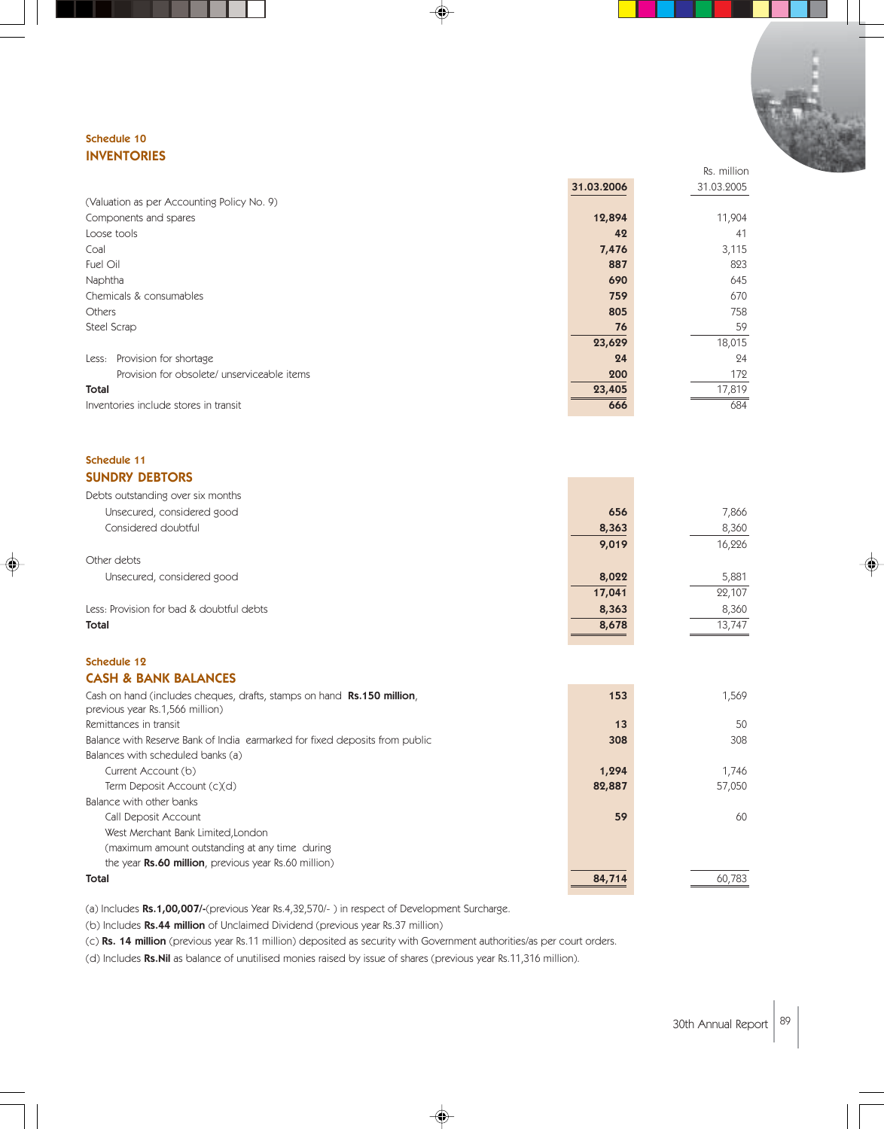#### Schedule 10 INVENTORIES

|                                             | 31.03.2006 | 31.03.2005 |
|---------------------------------------------|------------|------------|
| (Valuation as per Accounting Policy No. 9)  |            |            |
| Components and spares                       | 12,894     | 11,904     |
| Loose tools                                 | 42         | 41         |
| Coal                                        | 7,476      | 3,115      |
| Fuel Oil                                    | 887        | 823        |
| Naphtha                                     | 690        | 645        |
| Chemicals & consumables                     | 759        | 670        |
| <b>Others</b>                               | 805        | 758        |
| Steel Scrap                                 | 76         | 59         |
|                                             | 23,629     | 18,015     |
| Provision for shortage<br>Less:             | 24         | 24         |
| Provision for obsolete/ unserviceable items | 200        | 172        |
| Total                                       | 23,405     | 17,819     |
| Inventories include stores in transit       | 666        | 684        |

#### Schedule 11 SUNDRY DEBTORS

| Debts outstanding over six months        |        |        |
|------------------------------------------|--------|--------|
| Unsecured, considered good               | 656    | 7,866  |
| Considered doubtful                      | 8,363  | 8,360  |
|                                          | 9,019  | 16,226 |
| Other debts                              |        |        |
| Unsecured, considered good               | 8,022  | 5,881  |
|                                          | 17,041 | 22,107 |
| Less: Provision for bad & doubtful debts | 8,363  | 8,360  |
| Total                                    | 8,678  | 13.747 |
|                                          |        |        |

#### Schedule 12 CASH & BANK BALANCES

| Cash on hand (includes cheques, drafts, stamps on hand <b>Rs.150 million</b> ,<br>previous year Rs.1,566 million) | 153    | 1.569  |
|-------------------------------------------------------------------------------------------------------------------|--------|--------|
| Remittances in transit                                                                                            | 13     | 50     |
| Balance with Reserve Bank of India earmarked for fixed deposits from public                                       | 308    | 308    |
| Balances with scheduled banks (a)                                                                                 |        |        |
| Current Account (b)                                                                                               | 1,294  | 1.746  |
| Term Deposit Account (c)(d)                                                                                       | 82,887 | 57,050 |
| Balance with other banks                                                                                          |        |        |
| Call Deposit Account                                                                                              | 59     | 60     |
| West Merchant Bank Limited, London                                                                                |        |        |
| (maximum amount outstanding at any time during                                                                    |        |        |
| the year <b>Rs.60 million</b> , previous year Rs.60 million)                                                      |        |        |
| Total                                                                                                             | 84,714 | 60,783 |

♠

(a) Includes Rs.1,00,007/-(previous Year Rs.4,32,570/- ) in respect of Development Surcharge.

(b) Includes Rs.44 million of Unclaimed Dividend (previous year Rs.37 million)

(c) Rs. 14 million (previous year Rs.11 million) deposited as security with Government authorities/as per court orders.

(d) Includes Rs.Nil as balance of unutilised monies raised by issue of shares (previous year Rs.11,316 million).

Rs. million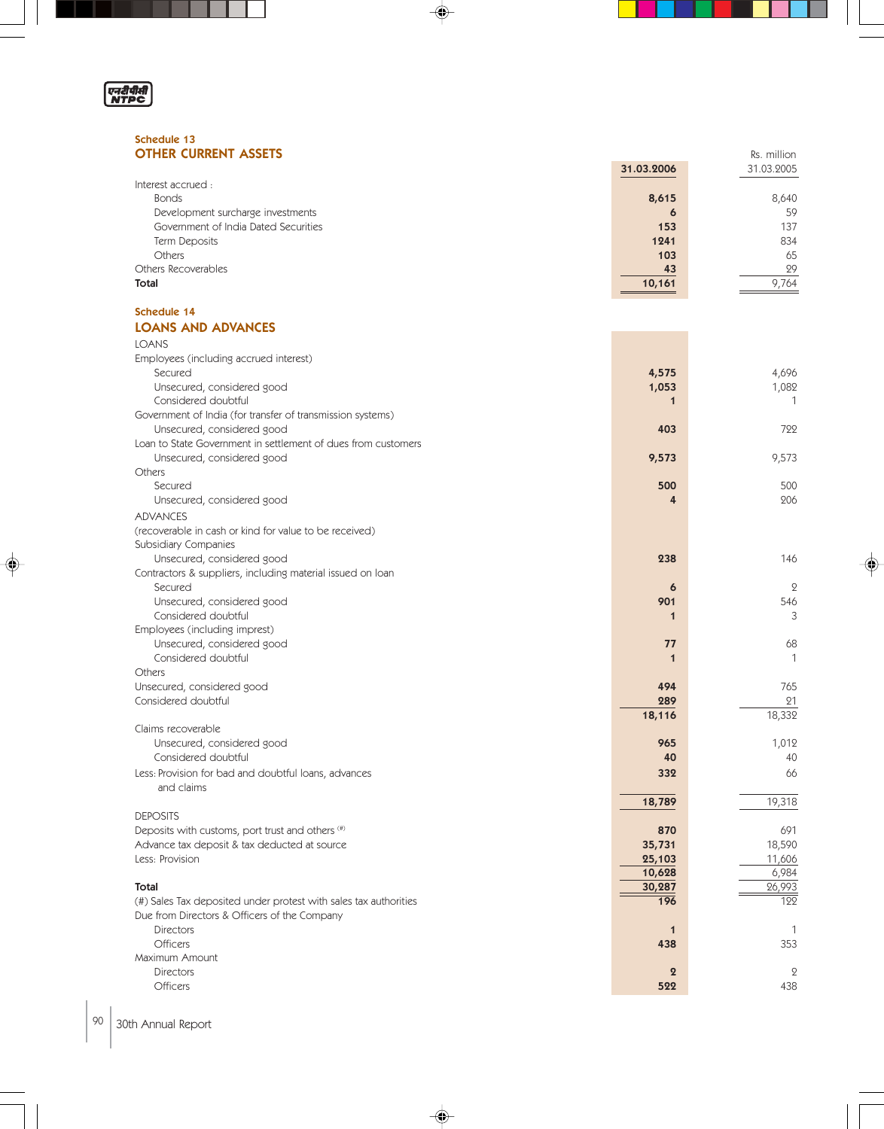

◈

#### Schedule 13 **OTHER CURRENT ASSETS Reserves And Set All 2003 (Set All 2003) Reserves And Set All 2003 Rs. million**

| <b>OTHER CURRENT ASSETS</b>          |            | Rs. million |  |
|--------------------------------------|------------|-------------|--|
|                                      | 31.03.2006 | 31.03.2005  |  |
| Interest accrued :                   |            |             |  |
| <b>Bonds</b>                         | 8,615      | 8,640       |  |
| Development surcharge investments    | 6          | 59          |  |
| Government of India Dated Securities | 153        | 137         |  |
| Term Deposits                        | 1241       | 834         |  |
| <b>Others</b>                        | 103        | 65          |  |
| Others Recoverables                  | 43         | 29          |  |
| Total                                | 10,161     | 9.764       |  |

 $\color{red}\blacklozenge$ 

#### Schedule 14 LOANS AND ADVANCES

| <b>LOANS</b>                                                     |                     |              |
|------------------------------------------------------------------|---------------------|--------------|
| Employees (including accrued interest)                           |                     |              |
| Secured                                                          | 4,575               | 4,696        |
| Unsecured, considered good                                       | 1,053               | 1,082        |
| Considered doubtful                                              | $\mathbf 1$         | 1            |
| Government of India (for transfer of transmission systems)       |                     |              |
| Unsecured, considered good                                       | 403                 | 799          |
| Loan to State Government in settlement of dues from customers    |                     |              |
| Unsecured, considered good                                       | 9,573               | 9,573        |
| Others                                                           |                     |              |
| Secured                                                          | 500                 | 500          |
| Unsecured, considered good                                       | 4                   | 206          |
| <b>ADVANCES</b>                                                  |                     |              |
| (recoverable in cash or kind for value to be received)           |                     |              |
| Subsidiary Companies                                             |                     |              |
| Unsecured, considered good                                       | 238                 | 146          |
| Contractors & suppliers, including material issued on loan       |                     |              |
| Secured                                                          | $\ddot{\mathbf{6}}$ | $\mathbf{2}$ |
| Unsecured, considered good                                       | 901                 | 546          |
| Considered doubtful                                              | $\mathbf 1$         | 3            |
| Employees (including imprest)                                    |                     |              |
| Unsecured, considered good                                       | 77                  | 68           |
| Considered doubtful                                              | $\mathbf{1}$        | 1            |
| Others                                                           |                     |              |
| Unsecured, considered good                                       | 494                 | 765          |
| Considered doubtful                                              | 289                 | 21           |
|                                                                  | 18,116              | 18,332       |
| Claims recoverable                                               |                     |              |
| Unsecured, considered good                                       | 965                 | 1,012        |
| Considered doubtful                                              | 40                  | 40           |
| Less: Provision for bad and doubtful loans, advances             | 332                 | 66           |
| and claims                                                       |                     |              |
|                                                                  | 18,789              | 19,318       |
| <b>DEPOSITS</b>                                                  |                     |              |
| Deposits with customs, port trust and others (#)                 | 870                 | 691          |
| Advance tax deposit & tax deducted at source                     | 35,731              | 18,590       |
| Less: Provision                                                  | 25,103              | 11,606       |
|                                                                  | 10,628              | 6,984        |
| Total                                                            | 30,287              | 26,993       |
| (#) Sales Tax deposited under protest with sales tax authorities | 196                 | 122          |
| Due from Directors & Officers of the Company                     |                     |              |
| <b>Directors</b>                                                 | $\mathbf 1$         | $\mathbf{1}$ |
| <b>Officers</b>                                                  | 438                 | 353          |
| Maximum Amount                                                   |                     |              |
| <b>Directors</b>                                                 | $\overline{2}$      | $\mathbf{2}$ |
| <b>Officers</b>                                                  | 522                 | 438          |
|                                                                  |                     |              |

 $\Rightarrow$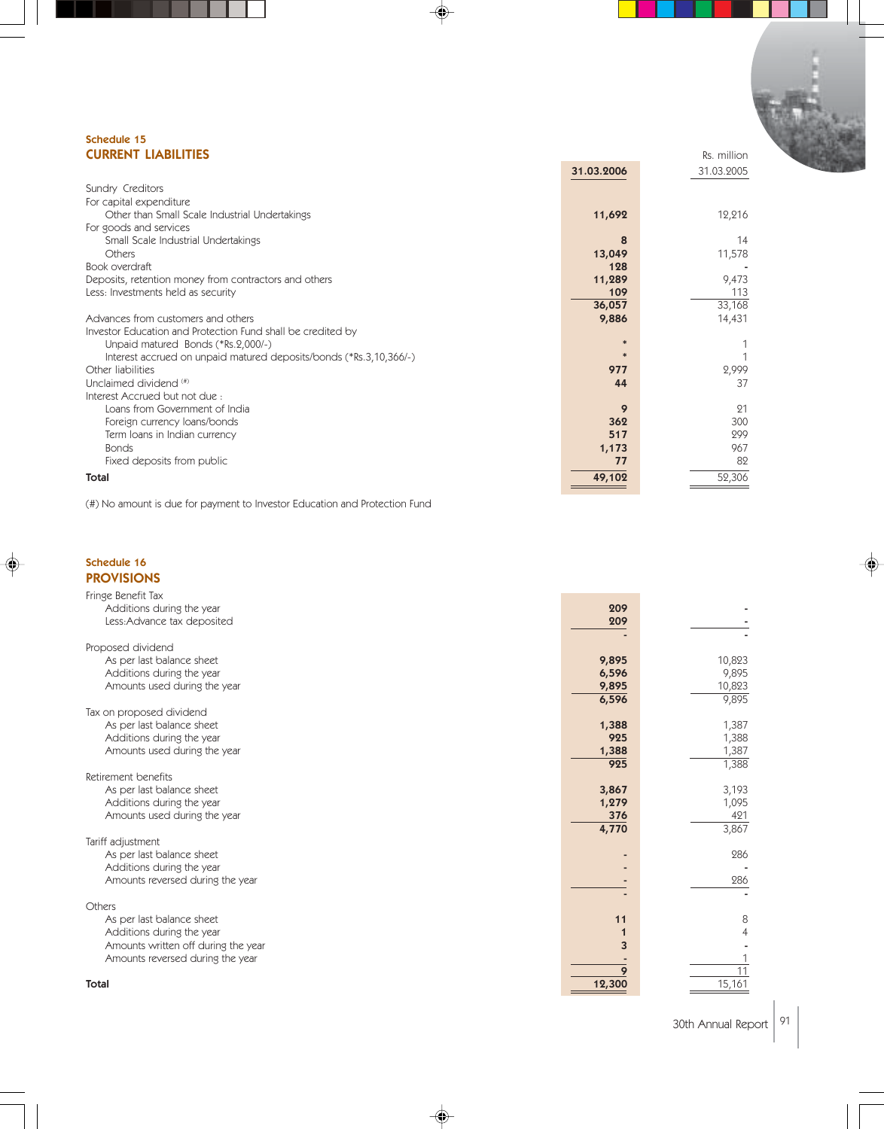#### Schedule 15 **CURRENT LIABILITIES** Reserves and the contract of the contract of the contract of the contract of the contract of the contract of the contract of the contract of the contract of the contract of the contract of the contrac

|                                                                    | 31.03.2006 | 31.03.2005 |
|--------------------------------------------------------------------|------------|------------|
| Sundry Creditors                                                   |            |            |
| For capital expenditure                                            |            |            |
| Other than Small Scale Industrial Undertakings                     | 11,692     | 12,216     |
| For goods and services                                             |            |            |
| Small Scale Industrial Undertakings                                | 8          | 14         |
| Others                                                             | 13,049     | 11,578     |
| Book overdraft                                                     | 128        |            |
| Deposits, retention money from contractors and others              | 11,289     | 9,473      |
| Less: Investments held as security                                 | 109        | 113        |
|                                                                    | 36,057     | 33,168     |
| Advances from customers and others                                 | 9,886      | 14,431     |
| Investor Education and Protection Fund shall be credited by        |            |            |
| Unpaid matured Bonds (*Rs.2,000/-)                                 |            |            |
| Interest accrued on unpaid matured deposits/bonds (*Rs.3,10,366/-) |            |            |
| Other liabilities                                                  | 977        | 2,999      |
| Unclaimed dividend (#)                                             | 44         | 37         |
| Interest Accrued but not due:                                      |            |            |
| Loans from Government of India                                     | 9          | 21         |
| Foreign currency loans/bonds                                       | 362        | 300        |
| Term loans in Indian currency                                      | 517        | 299        |
| <b>Bonds</b>                                                       | 1,173      | 967        |
| Fixed deposits from public                                         | 77         | 82         |
| Total                                                              | 49,102     | 52,306     |
|                                                                    |            |            |

(#) No amount is due for payment to Investor Education and Protection Fund

#### Schedule 16 PROVISIONS

| Fringe Benefit Tax                             |        |                 |
|------------------------------------------------|--------|-----------------|
| Additions during the year                      | 209    |                 |
| Less: Advance tax deposited                    | 209    |                 |
|                                                |        |                 |
| Proposed dividend                              |        |                 |
| As per last balance sheet                      | 9,895  | 10,823          |
| Additions during the year                      | 6,596  | 9,895           |
| Amounts used during the year                   | 9,895  | 10,823          |
|                                                | 6,596  | 9,895           |
| Tax on proposed dividend                       |        |                 |
| As per last balance sheet                      | 1,388  | 1,387           |
| Additions during the year                      | 925    | 1,388           |
| Amounts used during the year                   | 1,388  | 1,387           |
|                                                | 925    | 1,388           |
| Retirement benefits                            |        |                 |
| As per last balance sheet                      | 3,867  | 3,193           |
| Additions during the year                      | 1,279  | 1,095           |
| Amounts used during the year                   | 376    | 421             |
|                                                | 4,770  | 3,867           |
| Tariff adjustment<br>As per last balance sheet |        | 286             |
| Additions during the year                      |        |                 |
| Amounts reversed during the year               |        | 286             |
|                                                |        |                 |
| Others                                         |        |                 |
| As per last balance sheet                      | 11     | 8               |
| Additions during the year                      |        |                 |
| Amounts written off during the year            | 3      |                 |
| Amounts reversed during the year               |        |                 |
|                                                | 9      | $\overline{11}$ |
| <b>Total</b>                                   | 12,300 | 15,161          |
|                                                |        |                 |

€

30th Annual Report 91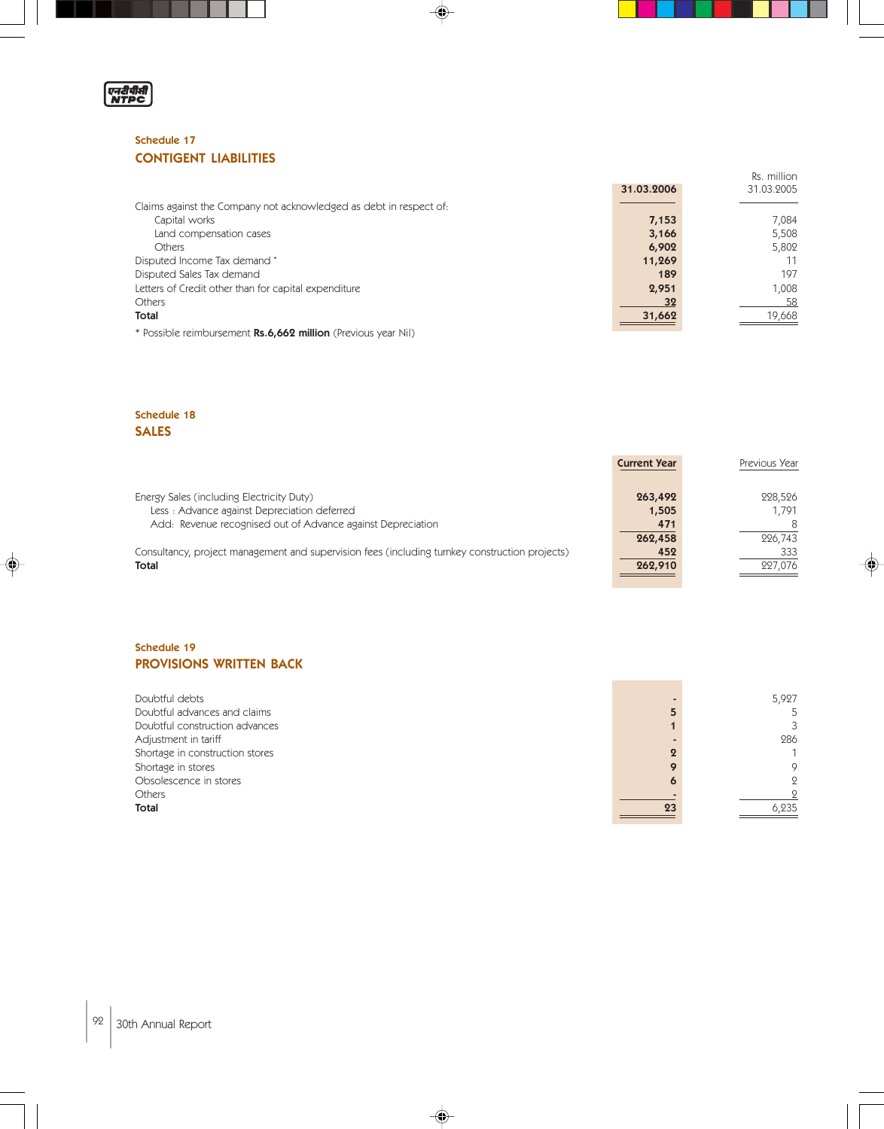

#### Schedule 17 CONTIGENT LIABILITIES

|                                                                    | 31.03.2006 | 31.03.2005 |
|--------------------------------------------------------------------|------------|------------|
| Claims against the Company not acknowledged as debt in respect of: |            |            |
| Capital works                                                      | 7,153      | 7.084      |
| Land compensation cases                                            | 3,166      | 5.508      |
| <b>Others</b>                                                      | 6,902      | 5,802      |
| Disputed Income Tax demand *                                       | 11,269     | 11         |
| Disputed Sales Tax demand                                          | 189        | 197        |
| Letters of Credit other than for capital expenditure               | 2,951      | 1,008      |
| Others                                                             | 32         | 58         |
| Total                                                              | 31,662     | 19,668     |
| * Possible reimbursement Rs.6,662 million (Previous year Nil)      |            |            |

 $\spadesuit$ 

Rs. million

◈

#### Schedule 18 SALES

♠

|                                                                                                | <b>Current Year</b> | Previous Year |
|------------------------------------------------------------------------------------------------|---------------------|---------------|
| Energy Sales (including Electricity Duty)                                                      | 263,492             | 228.526       |
| Less: Advance against Depreciation deferred                                                    | 1,505               | 1.791         |
| Add: Revenue recognised out of Advance against Depreciation                                    | 471                 |               |
|                                                                                                | 262,458             | 226,743       |
| Consultancy, project management and supervision fees (including turnkey construction projects) | 452                 | 333           |
| <b>Total</b>                                                                                   | 262,910             | 227.076       |
|                                                                                                |                     |               |

#### Schedule 19 PROVISIONS WRITTEN BACK

| Doubtful debts                  |    | 5,927          |
|---------------------------------|----|----------------|
| Doubtful advances and claims    |    |                |
| Doubtful construction advances  |    | 3              |
| Adjustment in tariff            |    | 286            |
| Shortage in construction stores |    |                |
| Shortage in stores              |    | $\circ$        |
| Obsolescence in stores          |    | $\overline{Q}$ |
| Others                          |    | $\Omega$       |
| Total                           | 23 | 6,235          |

 $\overline{\blacklozenge}$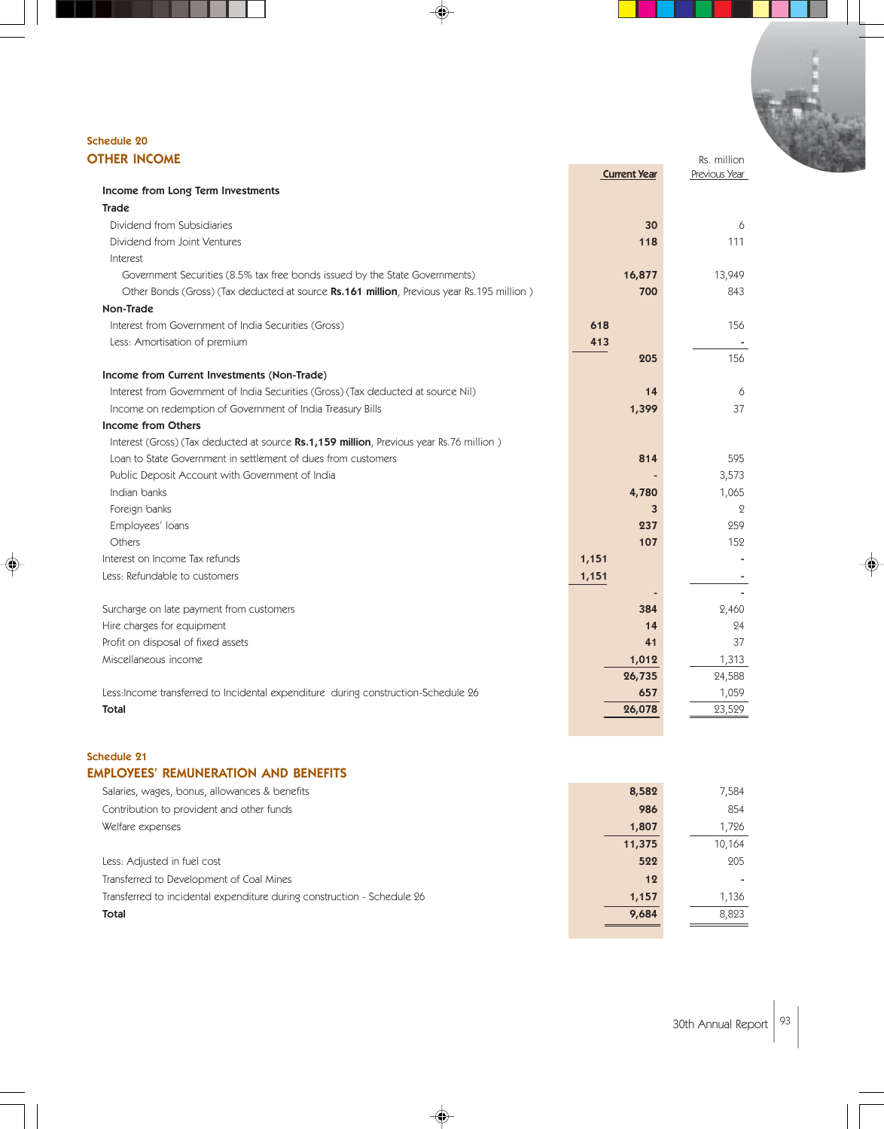#### Schedule 20 **OTHER INCOME** Rs. million

|                                                                                           | <b>Current Year</b> | Previous Year  |
|-------------------------------------------------------------------------------------------|---------------------|----------------|
| Income from Long Term Investments                                                         |                     |                |
| <b>Trade</b>                                                                              |                     |                |
| Dividend from Subsidiaries                                                                | 30                  | 6              |
| Dividend from Joint Ventures                                                              | 118                 | 111            |
| Interest                                                                                  |                     |                |
| Government Securities (8.5% tax free bonds issued by the State Governments)               | 16,877              | 13,949         |
| Other Bonds (Gross) (Tax deducted at source Rs.161 million, Previous year Rs.195 million) | 700                 | 843            |
| Non-Trade                                                                                 |                     |                |
| Interest from Government of India Securities (Gross)                                      | 618                 | 156            |
| Less: Amortisation of premium                                                             | 413                 |                |
|                                                                                           | 205                 | 156            |
| Income from Current Investments (Non-Trade)                                               |                     |                |
| Interest from Government of India Securities (Gross) (Tax deducted at source Nil)         | 14                  | 6              |
| Income on redemption of Government of India Treasury Bills                                | 1,399               | 37             |
| Income from Others                                                                        |                     |                |
| Interest (Gross) (Tax deducted at source Rs.1,159 million, Previous year Rs.76 million)   |                     |                |
| Loan to State Government in settlement of dues from customers                             | 814                 | 595            |
| Public Deposit Account with Government of India                                           |                     | 3,573          |
| Indian banks                                                                              | 4,780               | 1,065          |
| Foreign banks                                                                             | 3                   | $\overline{Q}$ |
| Employees' loans                                                                          | 237                 | 259            |
| Others                                                                                    | 107                 | 152            |
| Interest on Income Tax refunds                                                            | 1,151               |                |
| Less: Refundable to customers                                                             | 1,151               |                |
|                                                                                           |                     |                |
| Surcharge on late payment from customers                                                  | 384                 | 2,460          |
| Hire charges for equipment                                                                | 14                  | 24             |
| Profit on disposal of fixed assets                                                        | 41                  | 37             |
| Miscellaneous income                                                                      | 1,012               | 1,313          |
|                                                                                           | 26,735              | 24,588         |
| Less: Income transferred to Incidental expenditure during construction-Schedule 26        | 657                 | 1,059          |
| <b>Total</b>                                                                              | 26,078              | 23,529         |
|                                                                                           |                     |                |

 $\bigcirc \hspace{-1.4mm} \bigcirc$ 

#### Schedule 21

#### EMPLOYEES' REMUNERATION AND BENEFITS

| Salaries, wages, bonus, allowances & benefits                           | 8,582  | 7,584  |
|-------------------------------------------------------------------------|--------|--------|
| Contribution to provident and other funds                               | 986    | 854    |
| Welfare expenses                                                        | 1,807  | 1.726  |
|                                                                         | 11,375 | 10,164 |
| Less: Adjusted in fuel cost                                             | 522    | 205    |
| Transferred to Development of Coal Mines                                | 12     |        |
| Transferred to incidental expenditure during construction - Schedule 26 | 1,157  | 1.136  |
| Total                                                                   | 9,684  | 8.823  |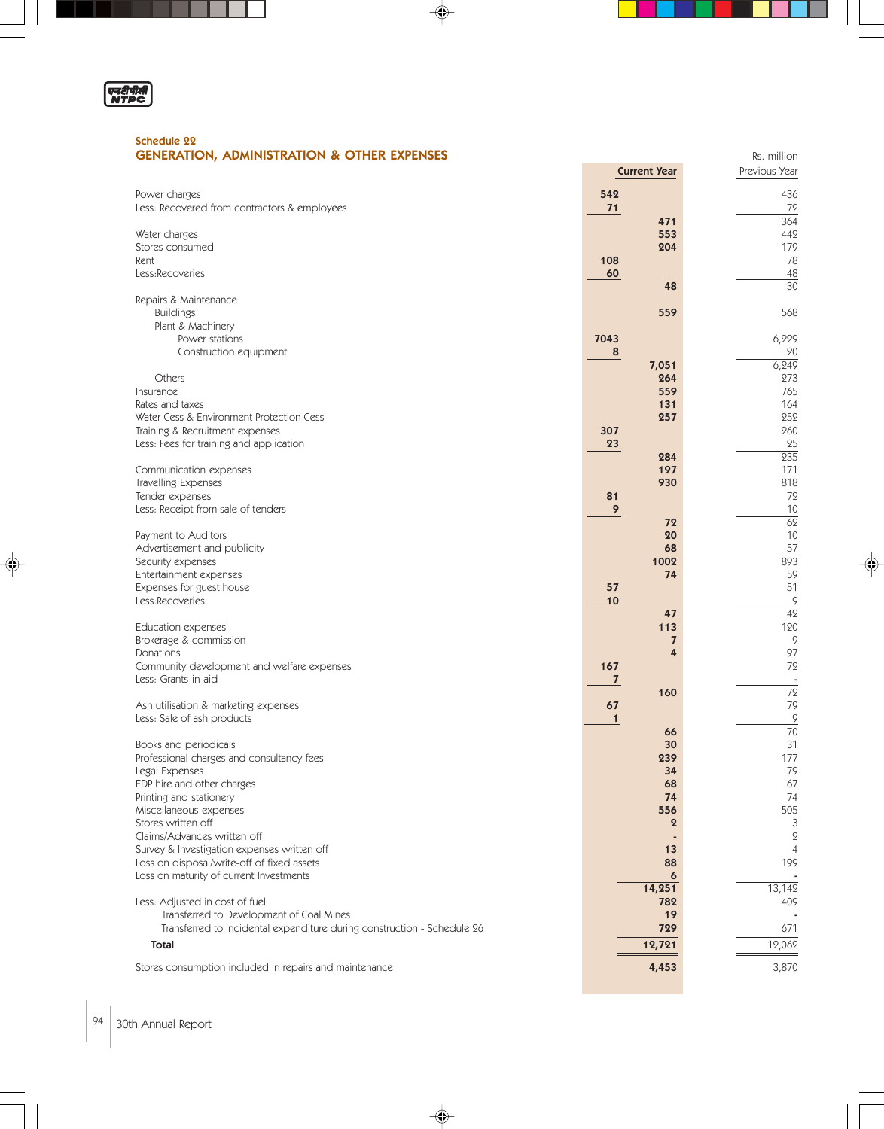

⊕

#### Schedule 22 **GENERATION, ADMINISTRATION & OTHER EXPENSES RS. million** Rs. million

|                                                                         | <b>Current Year</b> | Previous Year            |
|-------------------------------------------------------------------------|---------------------|--------------------------|
| Power charges                                                           | 542                 | 436                      |
|                                                                         |                     |                          |
| Less: Recovered from contractors & employees                            | 71<br>471           | 72<br>364                |
|                                                                         | 553                 | 442                      |
| Water charges<br>Stores consumed                                        | 204                 | 179                      |
|                                                                         | 108                 | 78                       |
| Rent                                                                    |                     |                          |
| Less:Recoveries                                                         | 60<br>48            | 48<br>$\overline{30}$    |
|                                                                         |                     |                          |
| Repairs & Maintenance<br><b>Buildings</b>                               | 559                 | 568                      |
| Plant & Machinery                                                       |                     |                          |
| Power stations                                                          | 7043                | 6,229                    |
| Construction equipment                                                  | 8                   | 20                       |
|                                                                         | 7,051               | 6, 249                   |
| Others                                                                  | 264                 | 273                      |
| Insurance                                                               | 559                 | 765                      |
| Rates and taxes                                                         | 131                 | 164                      |
| Water Cess & Environment Protection Cess                                | 257                 | 252                      |
| Training & Recruitment expenses                                         | 307                 | 260                      |
| Less: Fees for training and application                                 | 23                  | 25                       |
|                                                                         | 284                 | $\overline{235}$         |
| Communication expenses                                                  | 197                 | 171                      |
| Travelling Expenses                                                     | 930                 | 818                      |
| Tender expenses                                                         | 81                  | 72                       |
| Less: Receipt from sale of tenders                                      | 9                   | 10                       |
|                                                                         | 72                  | $\overline{62}$          |
| Payment to Auditors                                                     | 20                  | 10                       |
| Advertisement and publicity                                             | 68                  | 57                       |
| Security expenses                                                       | 1002                | 893                      |
| Entertainment expenses                                                  | 74                  | 59                       |
| Expenses for guest house                                                | 57                  | 51                       |
| Less:Recoveries                                                         | 10                  | $\overline{9}$           |
|                                                                         | 47                  | $\overline{42}$          |
| Education expenses                                                      | 113                 | 120                      |
| Brokerage & commission                                                  | $\overline{7}$      | 9                        |
| Donations                                                               | 4                   | 97                       |
| Community development and welfare expenses                              | 167                 | 72                       |
| Less: Grants-in-aid                                                     | $\mathbf{7}$        | $\overline{\phantom{a}}$ |
|                                                                         | 160                 | 72                       |
| Ash utilisation & marketing expenses                                    | 67                  | 79                       |
| Less: Sale of ash products                                              | $\mathbf{1}$        | $\overline{9}$           |
|                                                                         | 66                  | $\overline{70}$          |
| Books and periodicals                                                   | 30                  | 31                       |
| Professional charges and consultancy fees                               | 239                 | 177                      |
| Legal Expenses                                                          | 34                  | 79                       |
| EDP hire and other charges                                              | 68                  | 67                       |
| Printing and stationery                                                 | 74                  | 74                       |
| Miscellaneous expenses                                                  | 556                 | 505                      |
| Stores written off                                                      | $\boldsymbol{2}$    | 3                        |
| Claims/Advances written off                                             |                     | $\mathbf{Q}$             |
| Survey & Investigation expenses written off                             | 13                  | $\overline{4}$           |
| Loss on disposal/write-off of fixed assets                              | 88                  | 199                      |
| Loss on maturity of current Investments                                 | 6                   |                          |
|                                                                         | 14,251              | 13,142                   |
| Less: Adjusted in cost of fuel                                          | 782                 | 409                      |
| Transferred to Development of Coal Mines                                | 19                  |                          |
| Transferred to incidental expenditure during construction - Schedule 26 | 729                 | 671                      |
| Total                                                                   | 12,721              | 12,062                   |
|                                                                         |                     |                          |
| Stores consumption included in repairs and maintenance                  | 4,453               | 3,870                    |
|                                                                         |                     |                          |

 $\Rightarrow$ 

◈

♦

94 30th Annual Report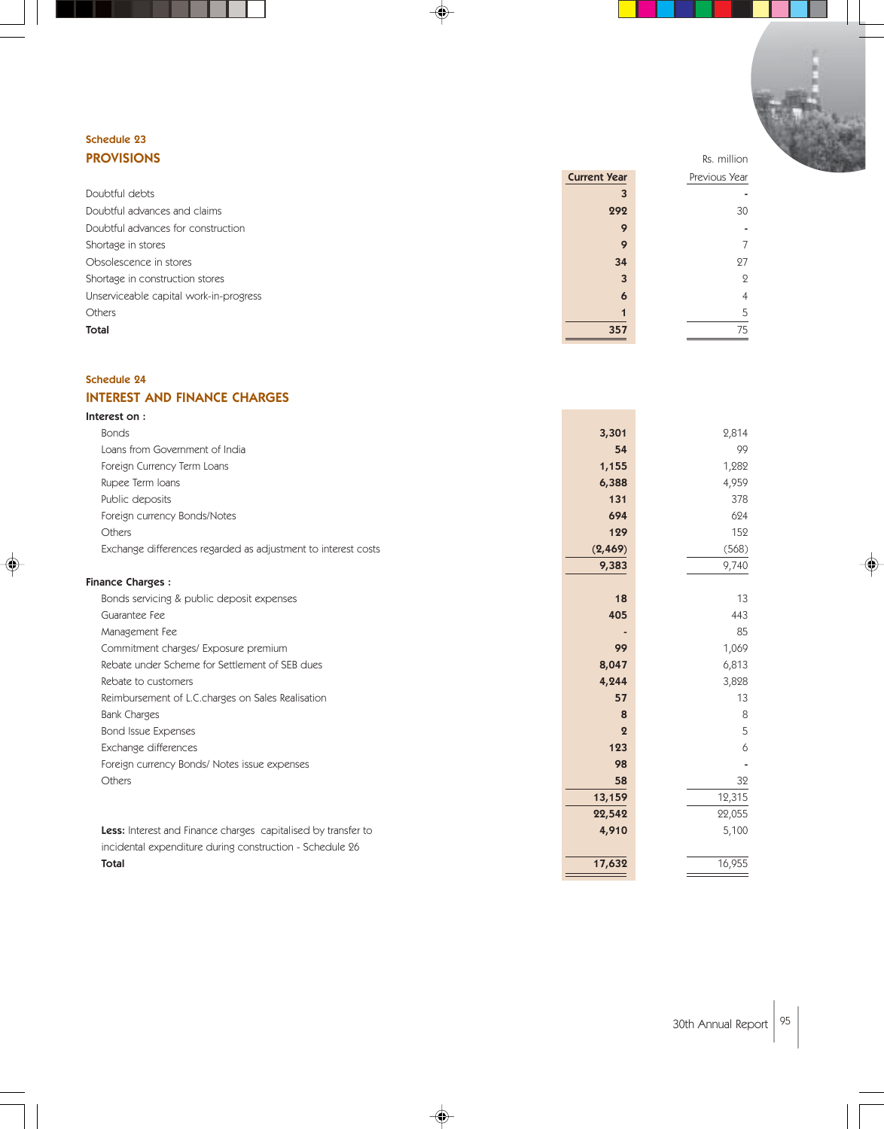#### Schedule 23 PROVISIONS Rs. million Rs. million

|                                        | <b>Current Year</b> | Previous Year |
|----------------------------------------|---------------------|---------------|
| Doubtful debts                         |                     |               |
| Doubtful advances and claims           | 292                 | 30            |
| Doubtful advances for construction     | 9                   | ٠             |
| Shortage in stores                     | 9                   |               |
| Obsolescence in stores                 | 34                  | 27            |
| Shortage in construction stores        |                     | $\mathcal{Q}$ |
| Unserviceable capital work-in-progress | 6                   | 4             |
| Others                                 |                     | 5             |
| Total                                  | 357                 | 75            |
|                                        |                     |               |

♦

#### Schedule 24

### INTEREST AND FINANCE CHARGES

| Interest on:                                                  |          |        |
|---------------------------------------------------------------|----------|--------|
| <b>Bonds</b>                                                  | 3,301    | 2,814  |
| Loans from Government of India                                | 54       | 99     |
| Foreign Currency Term Loans                                   | 1,155    | 1,282  |
| Rupee Term Ioans                                              | 6,388    | 4,959  |
| Public deposits                                               | 131      | 378    |
| Foreign currency Bonds/Notes                                  | 694      | 624    |
| Others                                                        | 129      | 152    |
| Exchange differences regarded as adjustment to interest costs | (2, 469) | (568)  |
|                                                               | 9,383    | 9,740  |
| <b>Finance Charges:</b>                                       |          |        |
| Bonds servicing & public deposit expenses                     | 18       | 13     |
| Guarantee Fee                                                 | 405      | 443    |
| Management Fee                                                |          | 85     |
| Commitment charges/ Exposure premium                          | 99       | 1,069  |
| Rebate under Scheme for Settlement of SEB dues                | 8,047    | 6,813  |
| Rebate to customers                                           | 4,244    | 3,828  |
| Reimbursement of L.C.charges on Sales Realisation             | 57       | 13     |
| <b>Bank Charges</b>                                           | 8        | 8      |
| <b>Bond Issue Expenses</b>                                    | $\Omega$ | 5      |
| Exchange differences                                          | 123      | 6      |
| Foreign currency Bonds/Notes issue expenses                   | 98       |        |
| Others                                                        | 58       | 32     |
|                                                               | 13,159   | 12,315 |
|                                                               | 22,542   | 22,055 |
| Less: Interest and Finance charges capitalised by transfer to | 4,910    | 5,100  |
| incidental expenditure during construction - Schedule 26      |          |        |
| <b>Total</b>                                                  | 17,632   | 16,955 |
|                                                               |          |        |

◈

♠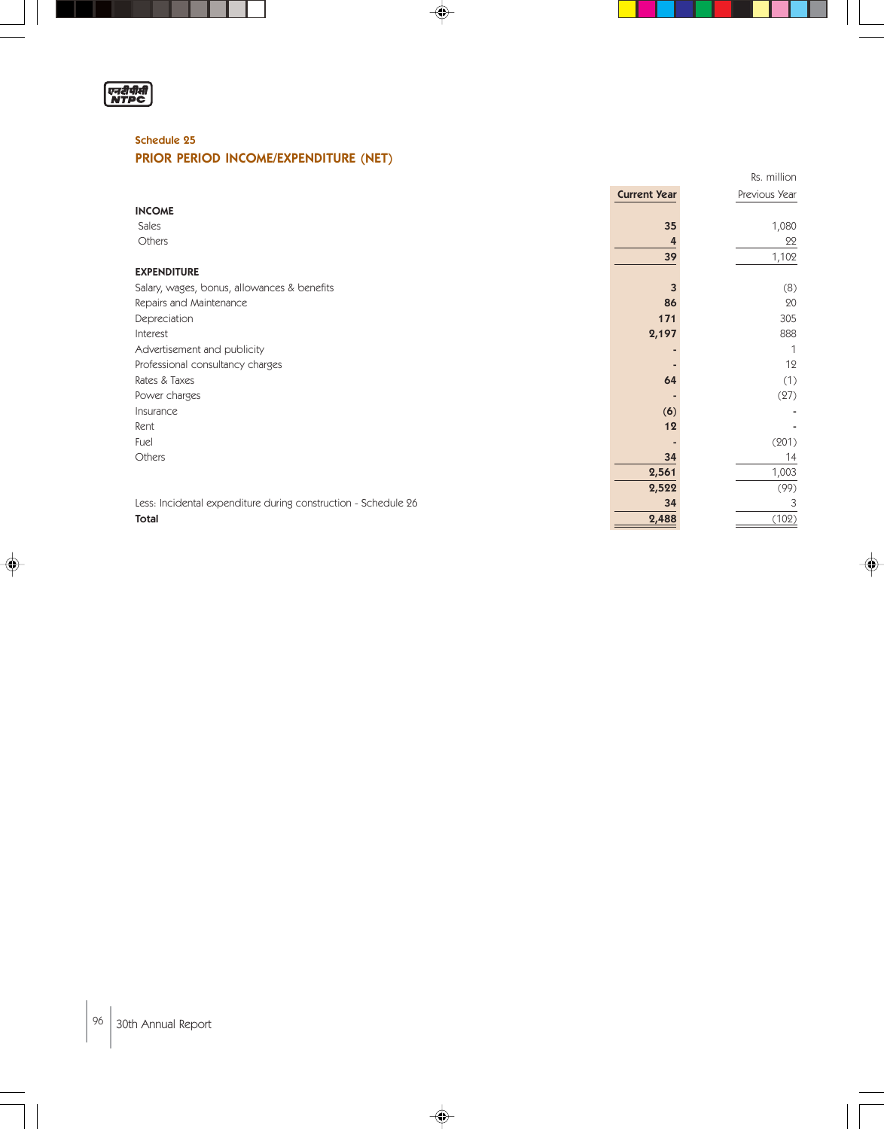

⊕

#### Schedule 25

#### PRIOR PERIOD INCOME/EXPENDITURE (NET)

|                                                                |                     | Rs. million   |
|----------------------------------------------------------------|---------------------|---------------|
|                                                                | <b>Current Year</b> | Previous Year |
| <b>INCOME</b>                                                  |                     |               |
| Sales                                                          | 35                  | 1,080         |
| Others                                                         |                     | 22            |
|                                                                | 39                  | 1,102         |
| <b>EXPENDITURE</b>                                             |                     |               |
| Salary, wages, bonus, allowances & benefits                    |                     | (8)           |
| Repairs and Maintenance                                        | 86                  | 20            |
| Depreciation                                                   | 171                 | 305           |
| Interest                                                       | 2,197               | 888           |
| Advertisement and publicity                                    |                     | $\mathbf{1}$  |
| Professional consultancy charges                               |                     | 12            |
| Rates & Taxes                                                  | 64                  | (1)           |
| Power charges                                                  |                     | (27)          |
| Insurance                                                      | (6)                 |               |
| Rent                                                           | 12                  |               |
| Fuel                                                           |                     | (201)         |
| Others                                                         | 34                  | 14            |
|                                                                | 2,561               | 1,003         |
|                                                                | 2,522               | (99)          |
| Less: Incidental expenditure during construction - Schedule 26 | 34                  | 3             |
| Total                                                          | 2,488               | (102)         |

 $\Rightarrow$ 

 $\color{red}\blacklozenge$ 

♦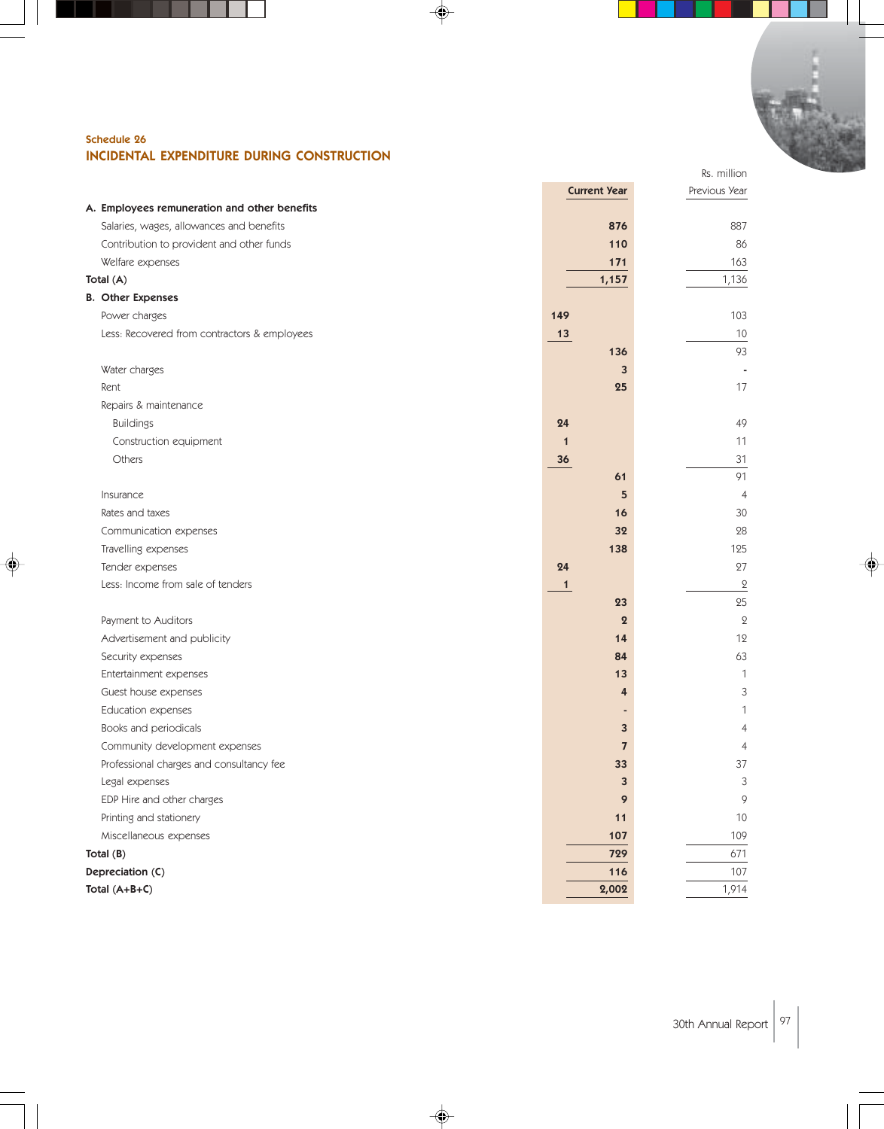

♠

#### Schedule 26 INCIDENTAL EXPENDITURE DURING CONSTRUCTION

|                                              | <b>Current Year</b> | Previous Year    |
|----------------------------------------------|---------------------|------------------|
| A. Employees remuneration and other benefits |                     |                  |
| Salaries, wages, allowances and benefits     | 876                 | 887              |
| Contribution to provident and other funds    | 110                 | 86               |
| Welfare expenses                             | 171                 | 163              |
| Total (A)                                    | 1,157               | 1,136            |
| <b>B.</b> Other Expenses                     |                     |                  |
| Power charges                                | 149                 | 103              |
| Less: Recovered from contractors & employees | 13                  | 10               |
|                                              | 136                 | 93               |
| Water charges                                | 3                   |                  |
| Rent                                         | 25                  | 17               |
| Repairs & maintenance                        |                     |                  |
| <b>Buildings</b>                             | 24                  | 49               |
| Construction equipment                       | $\mathbf{1}$        | 11               |
| Others                                       | 36                  | 31               |
|                                              | 61                  | 91               |
| Insurance                                    | 5                   | $\overline{4}$   |
| Rates and taxes                              | 16                  | 30               |
| Communication expenses                       | 32                  | 28               |
| Travelling expenses                          | 138                 | 125              |
| Tender expenses                              | 24                  | 27               |
| Less: Income from sale of tenders            | $\mathbf{1}$        | $\boldsymbol{2}$ |
|                                              | 23                  | 25               |
| Payment to Auditors                          | $\boldsymbol{2}$    | $\mathbf{2}$     |
| Advertisement and publicity                  | 14                  | 12               |
| Security expenses                            | 84                  | 63               |
| Entertainment expenses                       | 13                  | $\mathbf 1$      |
| Guest house expenses                         | 4                   | 3                |
| Education expenses                           |                     | 1                |
| Books and periodicals                        | 3                   | $\overline{4}$   |
| Community development expenses               | $\overline{7}$      | $\overline{4}$   |
| Professional charges and consultancy fee     | 33                  | 37               |
| Legal expenses                               | 3                   | 3                |
| EDP Hire and other charges                   | 9                   | 9                |
| Printing and stationery                      | 11                  | $10$             |
| Miscellaneous expenses                       | 107                 | 109              |
| Total $(B)$                                  | 729                 | 671              |
| Depreciation (C)                             | 116                 | 107              |
| Total (A+B+C)                                | 2,002               | 1,914            |

◈

♦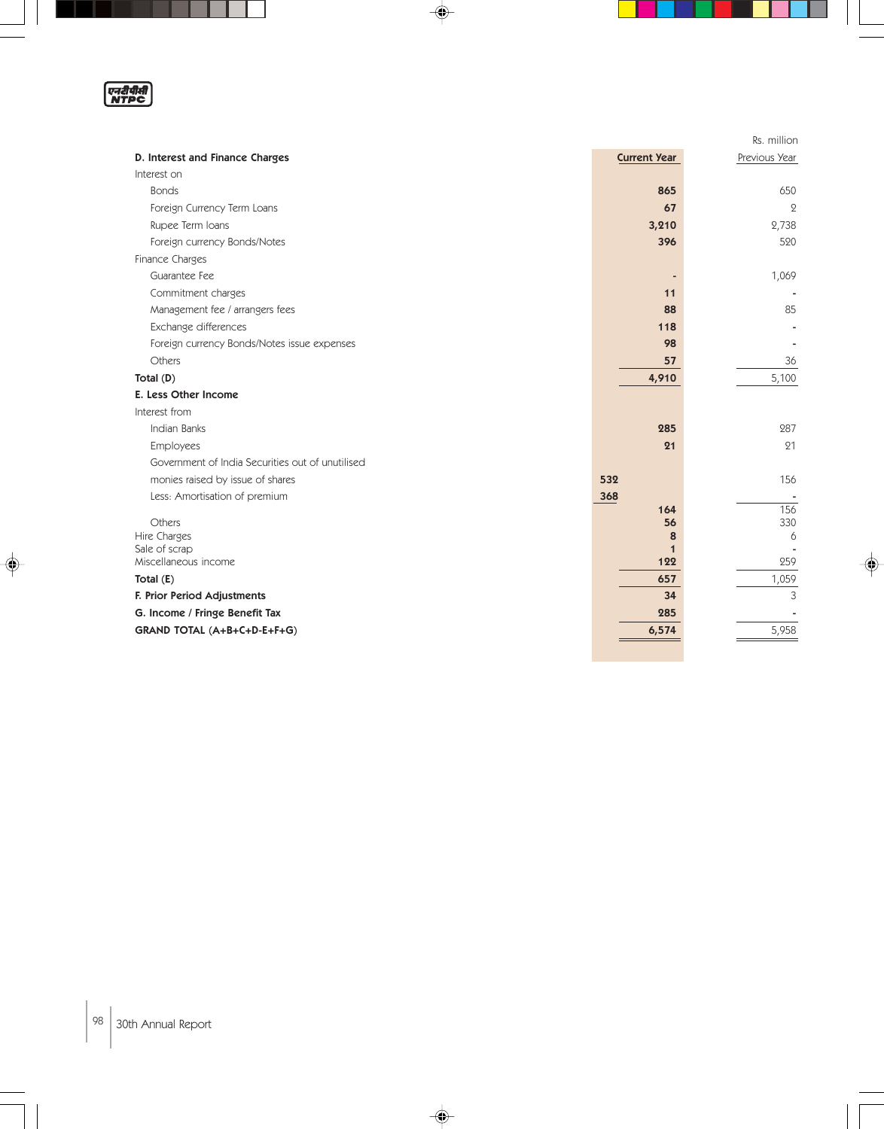एनदीपीती<br>NTPC

H

 $\overline{\phantom{a}}$ 

♦

|                                                  |                     | Rs. million   |
|--------------------------------------------------|---------------------|---------------|
| D. Interest and Finance Charges                  | <b>Current Year</b> | Previous Year |
| Interest on                                      |                     |               |
| <b>Bonds</b>                                     | 865                 | 650           |
| Foreign Currency Term Loans                      | 67                  | $\mathbf{Q}$  |
| Rupee Term Ioans                                 | 3,210               | 2,738         |
| Foreign currency Bonds/Notes                     | 396                 | 520           |
| Finance Charges                                  |                     |               |
| Guarantee Fee                                    |                     | 1,069         |
| Commitment charges                               | 11                  |               |
| Management fee / arrangers fees                  | 88                  | 85            |
| Exchange differences                             | 118                 |               |
| Foreign currency Bonds/Notes issue expenses      | 98                  |               |
| Others                                           | 57                  | 36            |
| Total (D)                                        | 4,910               | 5,100         |
| E. Less Other Income                             |                     |               |
| Interest from                                    |                     |               |
| Indian Banks                                     | 285                 | 287           |
| Employees                                        | 21                  | 21            |
| Government of India Securities out of unutilised |                     |               |
| monies raised by issue of shares                 | 532                 | 156           |
| Less: Amortisation of premium                    | 368                 |               |
| Others                                           | 164                 | 156<br>330    |
| Hire Charges                                     | 56<br>8             | 6             |
| Sale of scrap                                    | $\mathbf 1$         |               |
| Miscellaneous income                             | 122                 | 259           |
| Total $(E)$                                      | 657                 | 1,059         |
| F. Prior Period Adjustments                      | 34                  | 3             |
| G. Income / Fringe Benefit Tax                   | 285                 |               |
| GRAND TOTAL (A+B+C+D-E+F+G)                      | 6,574               | 5,958         |
|                                                  |                     |               |

 $\Rightarrow$ 

♦

J

 $\color{red}\blacklozenge$ 

I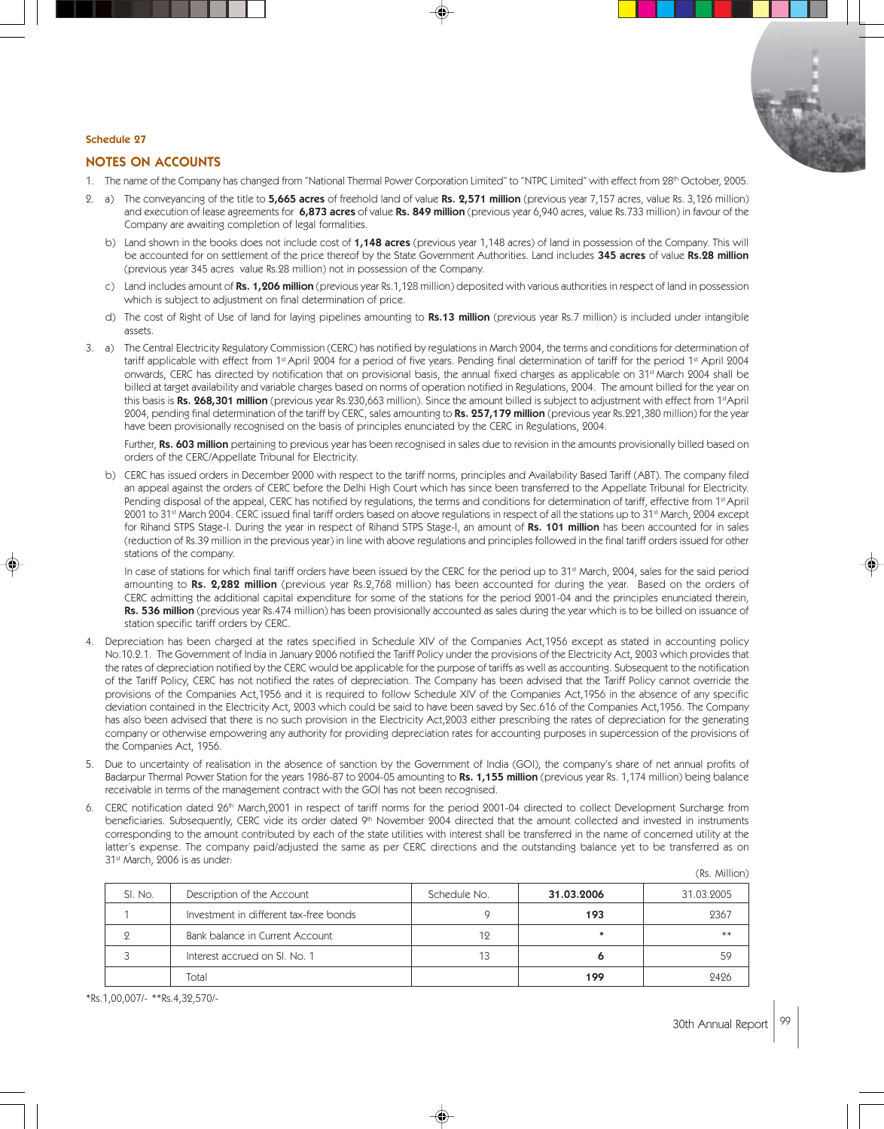

#### Schedule 27

#### NOTES ON ACCOUNTS

- 1. The name of the Company has changed from "National Thermal Power Corporation Limited" to "NTPC Limited" with effect from 28<sup>th</sup> October, 2005.
- 2. a) The conveyancing of the title to 5,665 acres of freehold land of value Rs. 2,571 million (previous year 7,157 acres, value Rs. 3,126 million) and execution of lease agreements for 6,873 acres of value Rs. 849 million (previous year 6,940 acres, value Rs.733 million) in favour of the Company are awaiting completion of legal formalities.
	- b) Land shown in the books does not include cost of 1,148 acres (previous year 1,148 acres) of land in possession of the Company. This will be accounted for on settlement of the price thereof by the State Government Authorities. Land includes 345 acres of value Rs.28 million (previous year 345 acres value Rs.28 million) not in possession of the Company.
	- c) Land includes amount of Rs. 1,206 million (previous year Rs.1,128 million) deposited with various authorities in respect of land in possession which is subject to adjustment on final determination of price.
	- d) The cost of Right of Use of land for laying pipelines amounting to Rs.13 million (previous year Rs.7 million) is included under intangible assets.
- 3. a) The Central Electricity Regulatory Commission (CERC) has notified by regulations in March 2004, the terms and conditions for determination of tariff applicable with effect from 1<sup>st</sup> April 2004 for a period of five years. Pending final determination of tariff for the period 1<sup>st</sup> April 2004 onwards, CERC has directed by notification that on provisional basis, the annual fixed charges as applicable on 31st March 2004 shall be billed at target availability and variable charges based on norms of operation notified in Regulations, 2004. The amount billed for the year on this basis is Rs. 268,301 million (previous year Rs.230,663 million). Since the amount billed is subject to adjustment with effect from 1<sup>st</sup>April 2004, pending final determination of the tariff by CERC, sales amounting to Rs. 257,179 million (previous year Rs.221,380 million) for the year have been provisionally recognised on the basis of principles enunciated by the CERC in Regulations, 2004.

Further, Rs. 603 million pertaining to previous year has been recognised in sales due to revision in the amounts provisionally billed based on orders of the CERC/Appellate Tribunal for Electricity.

b) CERC has issued orders in December 2000 with respect to the tariff norms, principles and Availability Based Tariff (ABT). The company filed an appeal against the orders of CERC before the Delhi High Court which has since been transferred to the Appellate Tribunal for Electricity. Pending disposal of the appeal, CERC has notified by regulations, the terms and conditions for determination of tariff, effective from 1st April 2001 to 31<sup>st</sup> March 2004. CERC issued final tariff orders based on above regulations in respect of all the stations up to 31<sup>st</sup> March, 2004 except for Rihand STPS Stage-I. During the year in respect of Rihand STPS Stage-I, an amount of Rs. 101 million has been accounted for in sales (reduction of Rs.39 million in the previous year) in line with above regulations and principles followed in the final tariff orders issued for other stations of the company.

In case of stations for which final tariff orders have been issued by the CERC for the period up to 31<sup>st</sup> March, 2004, sales for the said period amounting to Rs. 2,282 million (previous year Rs.2,768 million) has been accounted for during the year. Based on the orders of CERC admitting the additional capital expenditure for some of the stations for the period 2001-04 and the principles enunciated therein, Rs. 536 million (previous year Rs.474 million) has been provisionally accounted as sales during the year which is to be billed on issuance of station specific tariff orders by CERC.

- 4. Depreciation has been charged at the rates specified in Schedule XIV of the Companies Act,1956 except as stated in accounting policy No.10.2.1. The Government of India in January 2006 notified the Tariff Policy under the provisions of the Electricity Act, 2003 which provides that the rates of depreciation notified by the CERC would be applicable for the purpose of tariffs as well as accounting. Subsequent to the notification of the Tariff Policy, CERC has not notified the rates of depreciation. The Company has been advised that the Tariff Policy cannot override the provisions of the Companies Act,1956 and it is required to follow Schedule XIV of the Companies Act,1956 in the absence of any specific deviation contained in the Electricity Act, 2003 which could be said to have been saved by Sec.616 of the Companies Act,1956. The Company has also been advised that there is no such provision in the Electricity Act,2003 either prescribing the rates of depreciation for the generating company or otherwise empowering any authority for providing depreciation rates for accounting purposes in supercession of the provisions of the Companies Act, 1956.
- 5. Due to uncertainty of realisation in the absence of sanction by the Government of India (GOI), the company's share of net annual profits of Badarpur Thermal Power Station for the years 1986-87 to 2004-05 amounting to Rs. 1,155 million (previous year Rs. 1,174 million) being balance receivable in terms of the management contract with the GOI has not been recognised.
- 6. CERC notification dated 26<sup>th</sup> March,2001 in respect of tariff norms for the period 2001-04 directed to collect Development Surcharge from beneficiaries. Subsequently, CERC vide its order dated 9<sup>th</sup> November 2004 directed that the amount collected and invested in instruments corresponding to the amount contributed by each of the state utilities with interest shall be transferred in the name of concerned utility at the latter's expense. The company paid/adjusted the same as per CERC directions and the outstanding balance yet to be transferred as on 31<sup>st</sup> March, 2006 is as under:

|         |                                        |              |            | (Rs. Million) |
|---------|----------------------------------------|--------------|------------|---------------|
| SI. No. | Description of the Account             | Schedule No. | 31.03.2006 | 31.03.2005    |
|         | Investment in different tax-free bonds |              | 193        | 2367          |
|         | Bank balance in Current Account        | 19           |            | **            |
|         | Interest accrued on SI, No. 1          |              |            | 59            |
|         | Total                                  |              | 199        | 2426          |

\*Rs.1,00,007/- \*\*Rs.4,32,570/-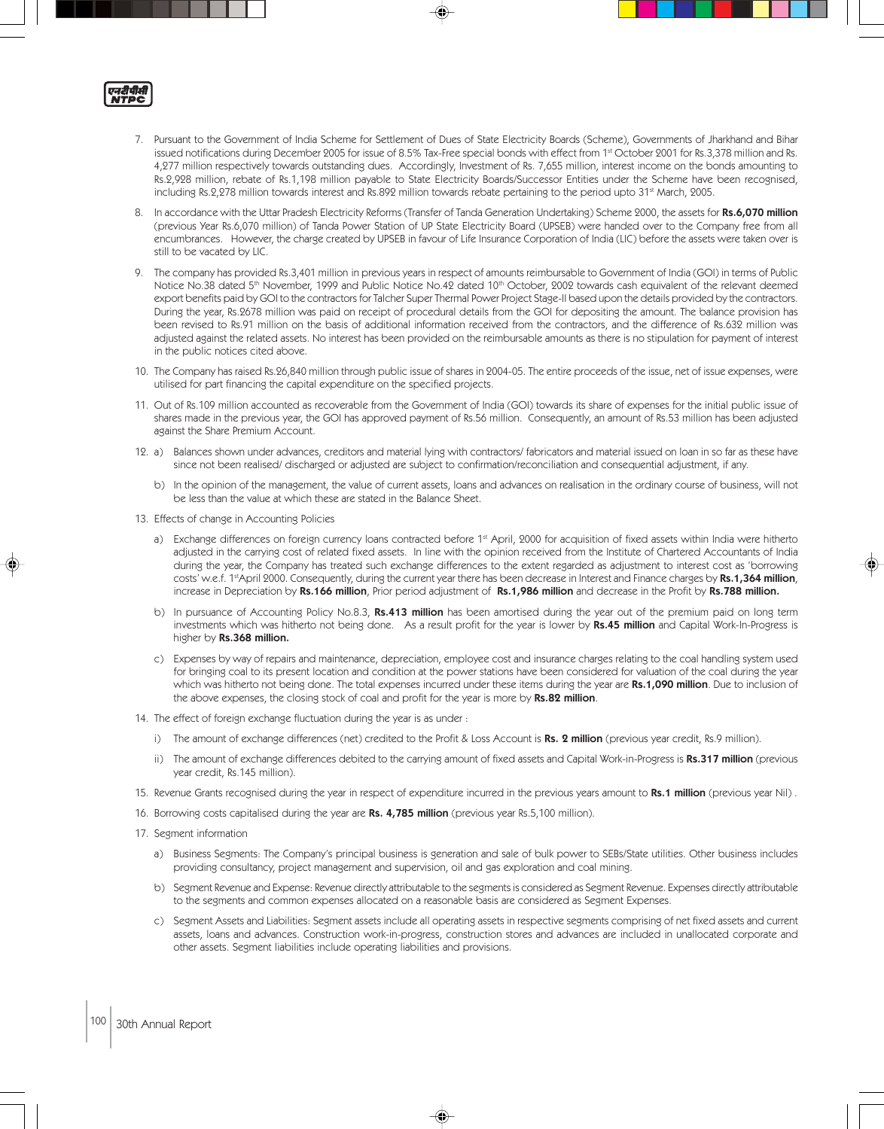

- 7. Pursuant to the Government of India Scheme for Settlement of Dues of State Electricity Boards (Scheme), Governments of Jharkhand and Bihar issued notifications during December 2005 for issue of 8.5% Tax-Free special bonds with effect from 1<sup>st</sup> October 2001 for Rs.3,378 million and Rs. 4,277 million respectively towards outstanding dues. Accordingly, Investment of Rs. 7,655 million, interest income on the bonds amounting to Rs.2,928 million, rebate of Rs.1,198 million payable to State Electricity Boards/Successor Entities under the Scheme have been recognised, including Rs.2,278 million towards interest and Rs.892 million towards rebate pertaining to the period upto 31st March, 2005.
- 8. In accordance with the Uttar Pradesh Electricity Reforms (Transfer of Tanda Generation Undertaking) Scheme 2000, the assets for Rs.6,070 million (previous Year Rs.6,070 million) of Tanda Power Station of UP State Electricity Board (UPSEB) were handed over to the Company free from all encumbrances. However, the charge created by UPSEB in favour of Life Insurance Corporation of India (LIC) before the assets were taken over is still to be vacated by LIC.
- 9. The company has provided Rs.3,401 million in previous years in respect of amounts reimbursable to Government of India (GOI) in terms of Public Notice No.38 dated 5<sup>th</sup> November, 1999 and Public Notice No.42 dated 10<sup>th</sup> October, 2002 towards cash equivalent of the relevant deemed export benefits paid by GOI to the contractors for Talcher Super Thermal Power Project Stage-II based upon the details provided by the contractors. During the year, Rs.2678 million was paid on receipt of procedural details from the GOI for depositing the amount. The balance provision has been revised to Rs.91 million on the basis of additional information received from the contractors, and the difference of Rs.632 million was adjusted against the related assets. No interest has been provided on the reimbursable amounts as there is no stipulation for payment of interest in the public notices cited above.
- 10. The Company has raised Rs.26,840 million through public issue of shares in 2004-05. The entire proceeds of the issue, net of issue expenses, were utilised for part financing the capital expenditure on the specified projects.
- 11. Out of Rs.109 million accounted as recoverable from the Government of India (GOI) towards its share of expenses for the initial public issue of shares made in the previous year, the GOI has approved payment of Rs.56 million. Consequently, an amount of Rs.53 million has been adjusted against the Share Premium Account.
- 12. a) Balances shown under advances, creditors and material lying with contractors/ fabricators and material issued on loan in so far as these have since not been realised/ discharged or adjusted are subject to confirmation/reconciliation and consequential adjustment, if any.
	- b) In the opinion of the management, the value of current assets, loans and advances on realisation in the ordinary course of business, will not be less than the value at which these are stated in the Balance Sheet.
- 13. Effects of change in Accounting Policies
	- a) Exchange differences on foreign currency loans contracted before 1<sup>st</sup> April, 2000 for acquisition of fixed assets within India were hitherto adjusted in the carrying cost of related fixed assets. In line with the opinion received from the Institute of Chartered Accountants of India during the year, the Company has treated such exchange differences to the extent regarded as adjustment to interest cost as 'borrowing costs' w.e.f. 1<sup>st</sup>April 2000. Consequently, during the current year there has been decrease in Interest and Finance charges by Rs.1,364 million, increase in Depreciation by Rs.166 million, Prior period adjustment of Rs.1,986 million and decrease in the Profit by Rs.788 million.
	- b) In pursuance of Accounting Policy No.8.3, Rs.413 million has been amortised during the year out of the premium paid on long term investments which was hitherto not being done. As a result profit for the year is lower by Rs.45 million and Capital Work-In-Progress is higher by Rs.368 million.
	- c) Expenses by way of repairs and maintenance, depreciation, employee cost and insurance charges relating to the coal handling system used for bringing coal to its present location and condition at the power stations have been considered for valuation of the coal during the year which was hitherto not being done. The total expenses incurred under these items during the year are Rs.1,090 million. Due to inclusion of the above expenses, the closing stock of coal and profit for the year is more by Rs.82 million.
- 14. The effect of foreign exchange fluctuation during the year is as under :
	- i) The amount of exchange differences (net) credited to the Profit & Loss Account is Rs. 2 million (previous year credit, Rs.9 million).
	- ii) The amount of exchange differences debited to the carrying amount of fixed assets and Capital Work-in-Progress is Rs.317 million (previous year credit, Rs.145 million).
- 15. Revenue Grants recognised during the year in respect of expenditure incurred in the previous years amount to Rs.1 million (previous year Nil).
- 16. Borrowing costs capitalised during the year are Rs. 4,785 million (previous year Rs.5,100 million).
- 17. Segment information
	- a) Business Segments: The Company's principal business is generation and sale of bulk power to SEBs/State utilities. Other business includes providing consultancy, project management and supervision, oil and gas exploration and coal mining.
	- b) Segment Revenue and Expense: Revenue directly attributable to the segments is considered as Segment Revenue. Expenses directly attributable to the segments and common expenses allocated on a reasonable basis are considered as Segment Expenses.
	- c) Segment Assets and Liabilities: Segment assets include all operating assets in respective segments comprising of net fixed assets and current assets, loans and advances. Construction work-in-progress, construction stores and advances are included in unallocated corporate and other assets. Segment liabilities include operating liabilities and provisions.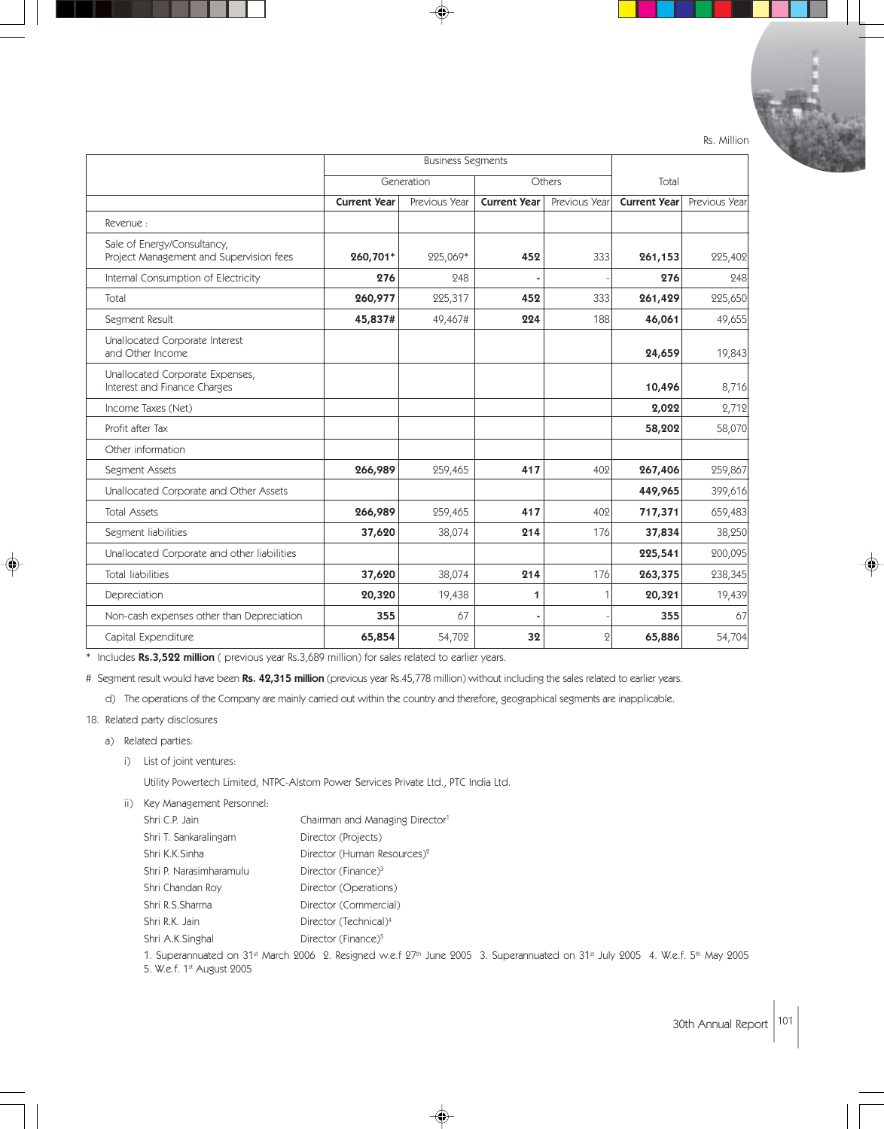|                                                                        | <b>Business Segments</b> |                               |                     |               |                     |               |
|------------------------------------------------------------------------|--------------------------|-------------------------------|---------------------|---------------|---------------------|---------------|
|                                                                        |                          | Generation<br>Others<br>Total |                     |               |                     |               |
|                                                                        | <b>Current Year</b>      | Previous Year                 | <b>Current Year</b> | Previous Year | <b>Current Year</b> | Previous Year |
| Revenue:                                                               |                          |                               |                     |               |                     |               |
| Sale of Energy/Consultancy,<br>Project Management and Supervision fees | 260,701*                 | 225,069*                      | 452                 | 333           | 261,153             | 225,402       |
| Internal Consumption of Electricity                                    | 276                      | 248                           |                     |               | 276                 | 248           |
| Total                                                                  | 260,977                  | 225,317                       | 452                 | 333           | 261,429             | 225,650       |
| Segment Result                                                         | 45,837#                  | 49,467#                       | 224                 | 188           | 46,061              | 49,655        |
| Unallocated Corporate Interest<br>and Other Income                     |                          |                               |                     |               | 24,659              | 19,843        |
| Unallocated Corporate Expenses,<br>Interest and Finance Charges        |                          |                               |                     |               | 10,496              | 8,716         |
| Income Taxes (Net)                                                     |                          |                               |                     |               | 2,022               | 2,712         |
| Profit after Tax                                                       |                          |                               |                     |               | 58,202              | 58,070        |
| Other information                                                      |                          |                               |                     |               |                     |               |
| Segment Assets                                                         | 266,989                  | 259,465                       | 417                 | 402           | 267,406             | 259,867       |
| Unallocated Corporate and Other Assets                                 |                          |                               |                     |               | 449,965             | 399,616       |
| <b>Total Assets</b>                                                    | 266,989                  | 259,465                       | 417                 | 402           | 717,371             | 659,483       |
| Segment liabilities                                                    | 37,620                   | 38,074                        | 214                 | 176           | 37,834              | 38,250        |
| Unallocated Corporate and other liabilities                            |                          |                               |                     |               | 225,541             | 200,095       |
| <b>Total liabilities</b>                                               | 37,620                   | 38,074                        | 214                 | 176           | 263,375             | 238,345       |
| Depreciation                                                           | 20,320                   | 19,438                        | 1                   | 1             | 20,321              | 19,439        |
| Non-cash expenses other than Depreciation                              | 355                      | 67                            | ۰                   |               | 355                 | 67            |

Rs. Million

\* Includes Rs.3,522 million ( previous year Rs.3,689 million) for sales related to earlier years.

# Segment result would have been Rs. 42,315 million (previous year Rs.45,778 million) without including the sales related to earlier years.

Capital Expenditure 65,854 54,702 32 2 65,886 54,704

d) The operations of the Company are mainly carried out within the country and therefore, geographical segments are inapplicable.

#### 18. Related party disclosures

- a) Related parties:
	- i) List of joint ventures:

Utility Powertech Limited, NTPC-Alstom Power Services Private Ltd., PTC India Ltd.

- ii) Key Management Personnel:
	- Shri C.P. Jain Chairman and Managing Director<sup>1</sup> Shri T. Sankaralingam Director (Projects) Shri K.K.Sinha Director (Human Resources)<sup>2</sup> Shri P. Narasimharamulu Director (Finance)<sup>3</sup> Shri Chandan Roy Director (Operations) Shri R.S.Sharma Director (Commercial) Shri R.K. Jain Director (Technical)<sup>4</sup> Shri A.K.Singhal Director (Finance)<sup>5</sup>

1. Superannuated on 31st March 2006 2. Resigned w.e.f 27<sup>th</sup> June 2005 3. Superannuated on 31st July 2005 4. W.e.f. 5th May 2005

◈

5. W.e.f. 1st August 2005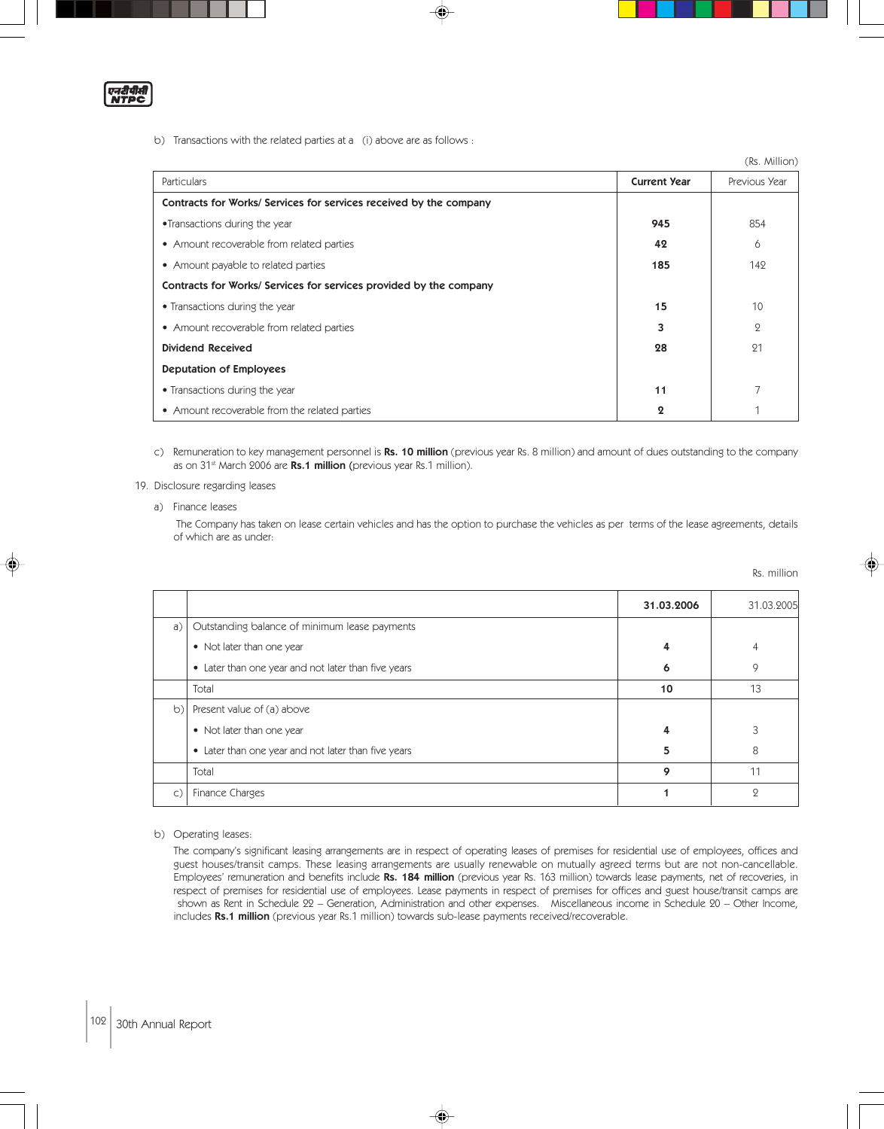एनरीपीसी<br>NTPC

b) Transactions with the related parties at a (i) above are as follows :

|                                                                    |                       | (Rs. Million) |
|--------------------------------------------------------------------|-----------------------|---------------|
| <b>Particulars</b>                                                 | <b>Current Year</b>   | Previous Year |
| Contracts for Works/ Services for services received by the company |                       |               |
| •Transactions during the year                                      | 945                   | 854           |
| • Amount recoverable from related parties                          | 42                    | 6             |
| • Amount payable to related parties                                | 185                   | 142           |
| Contracts for Works/ Services for services provided by the company |                       |               |
| • Transactions during the year                                     | 15                    | 10            |
| • Amount recoverable from related parties                          | 3                     | $\mathcal{Q}$ |
| <b>Dividend Received</b>                                           | 28                    | 21            |
| <b>Deputation of Employees</b>                                     |                       |               |
| • Transactions during the year                                     | 11                    |               |
| • Amount recoverable from the related parties                      | $\boldsymbol{\Omega}$ |               |

c) Remuneration to key management personnel is Rs. 10 million (previous year Rs. 8 million) and amount of dues outstanding to the company as on 31<sup>st</sup> March 2006 are Rs.1 million (previous year Rs.1 million).

#### 19. Disclosure regarding leases

a) Finance leases

 The Company has taken on lease certain vehicles and has the option to purchase the vehicles as per terms of the lease agreements, details of which are as under:

|    |                                                     |            | Rs. million    |
|----|-----------------------------------------------------|------------|----------------|
|    |                                                     | 31.03.2006 | 31.03.2005     |
| a) | Outstanding balance of minimum lease payments       |            |                |
|    | • Not later than one year                           | 4          | 4              |
|    | • Later than one year and not later than five years | 6          | 9              |
|    | Total                                               | 10         | 13             |
| b) | Present value of (a) above                          |            |                |
|    | • Not later than one year                           | 4          | 3              |
|    | • Later than one year and not later than five years | 5          | 8              |
|    | Total                                               | 9          | 11             |
| C) | Finance Charges                                     |            | $\overline{Q}$ |

b) Operating leases:

The company's significant leasing arrangements are in respect of operating leases of premises for residential use of employees, offices and guest houses/transit camps. These leasing arrangements are usually renewable on mutually agreed terms but are not non-cancellable. Employees' remuneration and benefits include Rs. 184 million (previous year Rs. 163 million) towards lease payments, net of recoveries, in respect of premises for residential use of employees. Lease payments in respect of premises for offices and guest house/transit camps are shown as Rent in Schedule 22 – Generation, Administration and other expenses. Miscellaneous income in Schedule 20 – Other Income, includes Rs.1 million (previous year Rs.1 million) towards sub-lease payments received/recoverable.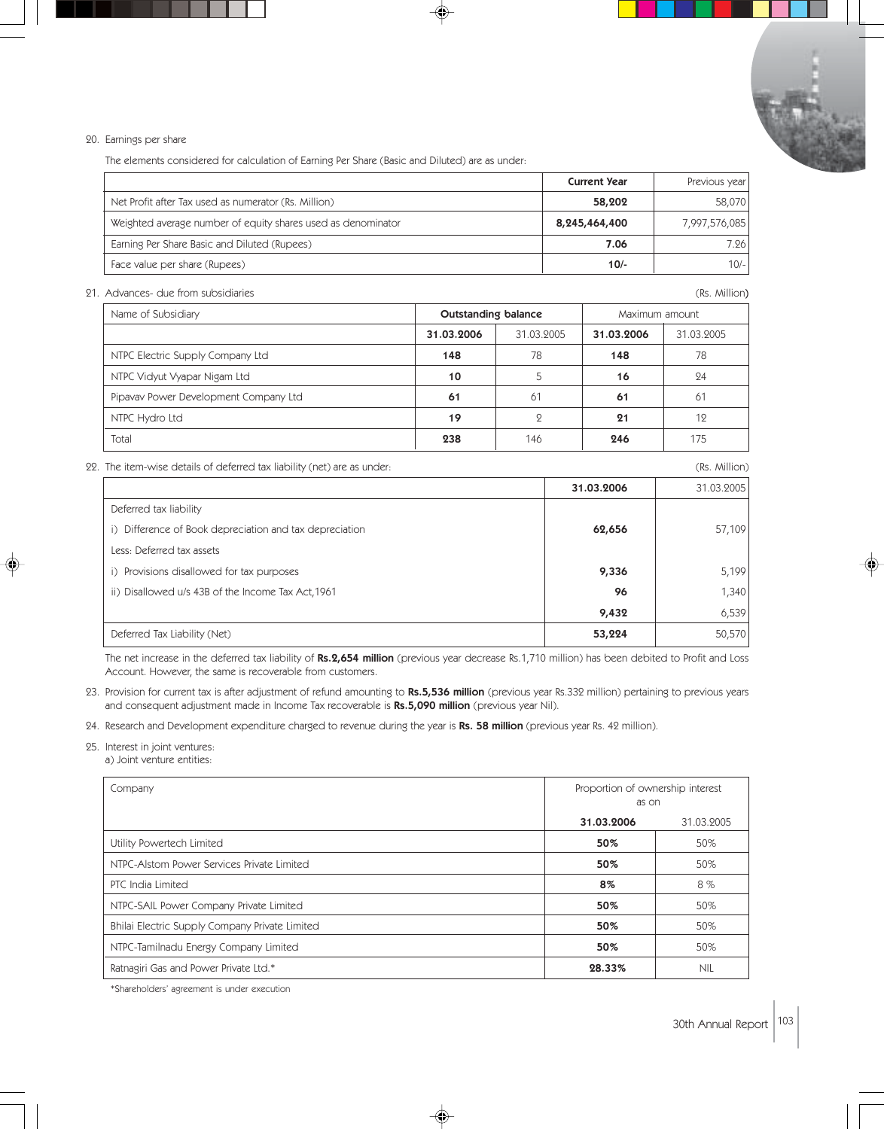#### 20. Earnings per share

The elements considered for calculation of Earning Per Share (Basic and Diluted) are as under:

|                                                              | <b>Current Year</b> | Previous year |
|--------------------------------------------------------------|---------------------|---------------|
| Net Profit after Tax used as numerator (Rs. Million)         | 58,202              | 58,070        |
| Weighted average number of equity shares used as denominator | 8,245,464,400       | 7,997,576,085 |
| Earning Per Share Basic and Diluted (Rupees)                 | 7.06                | 7.26          |
| Face value per share (Rupees)                                | $10/-$              | $10/-$        |

21. Advances- due from subsidiaries (Rs. Million)

| Name of Subsidiary                    | <b>Outstanding balance</b> |            | Maximum amount |            |  |
|---------------------------------------|----------------------------|------------|----------------|------------|--|
|                                       | 31.03.2006                 | 31.03.2005 | 31.03.2006     | 31.03.2005 |  |
| NTPC Electric Supply Company Ltd      | 148                        | 78         | 148            | 78         |  |
| NTPC Vidyut Vyapar Nigam Ltd          | 10                         |            | 16             | 24         |  |
| Pipavav Power Development Company Ltd | 61                         | 61         | 61             | 61         |  |
| NTPC Hydro Ltd                        | 19                         | $\circ$    | 21             | 12         |  |
| Total                                 | 238                        | 146        | 246            | 175        |  |

22. The item-wise details of deferred tax liability (net) are as under: (Rs. Million)

|                                                         | 31.03.2006 | 31.03.2005 |
|---------------------------------------------------------|------------|------------|
| Deferred tax liability                                  |            |            |
| i) Difference of Book depreciation and tax depreciation | 62,656     | 57,109     |
| Less: Deferred tax assets                               |            |            |
| i) Provisions disallowed for tax purposes               | 9,336      | 5,199      |
| ii) Disallowed u/s 43B of the Income Tax Act, 1961      | 96         | 1,340      |
|                                                         | 9,432      | 6,539      |
| Deferred Tax Liability (Net)                            | 53,224     | 50,570     |
|                                                         |            |            |

The net increase in the deferred tax liability of Rs.2,654 million (previous year decrease Rs.1,710 million) has been debited to Profit and Loss Account. However, the same is recoverable from customers.

23. Provision for current tax is after adjustment of refund amounting to Rs.5,536 million (previous year Rs.332 million) pertaining to previous years and consequent adjustment made in Income Tax recoverable is Rs.5,090 million (previous year Nil).

24. Research and Development expenditure charged to revenue during the year is Rs. 58 million (previous year Rs. 42 million).

- 25. Interest in joint ventures:
	- a) Joint venture entities:

| Company                                        | Proportion of ownership interest<br>as on |            |
|------------------------------------------------|-------------------------------------------|------------|
|                                                | 31.03.2006                                | 31.03.2005 |
| Utility Powertech Limited                      | 50%                                       | 50%        |
| NTPC-Alstom Power Services Private Limited     | 50%                                       | 50%        |
| PTC India Limited                              | 8%                                        | 8%         |
| NTPC-SAIL Power Company Private Limited        | 50%                                       | 50%        |
| Bhilai Electric Supply Company Private Limited | 50%                                       | 50%        |
| NTPC-Tamilnadu Energy Company Limited          | 50%                                       | 50%        |
| Ratnagiri Gas and Power Private Ltd.*          | 28.33%                                    | <b>NIL</b> |

♠

\*Shareholders' agreement is under execution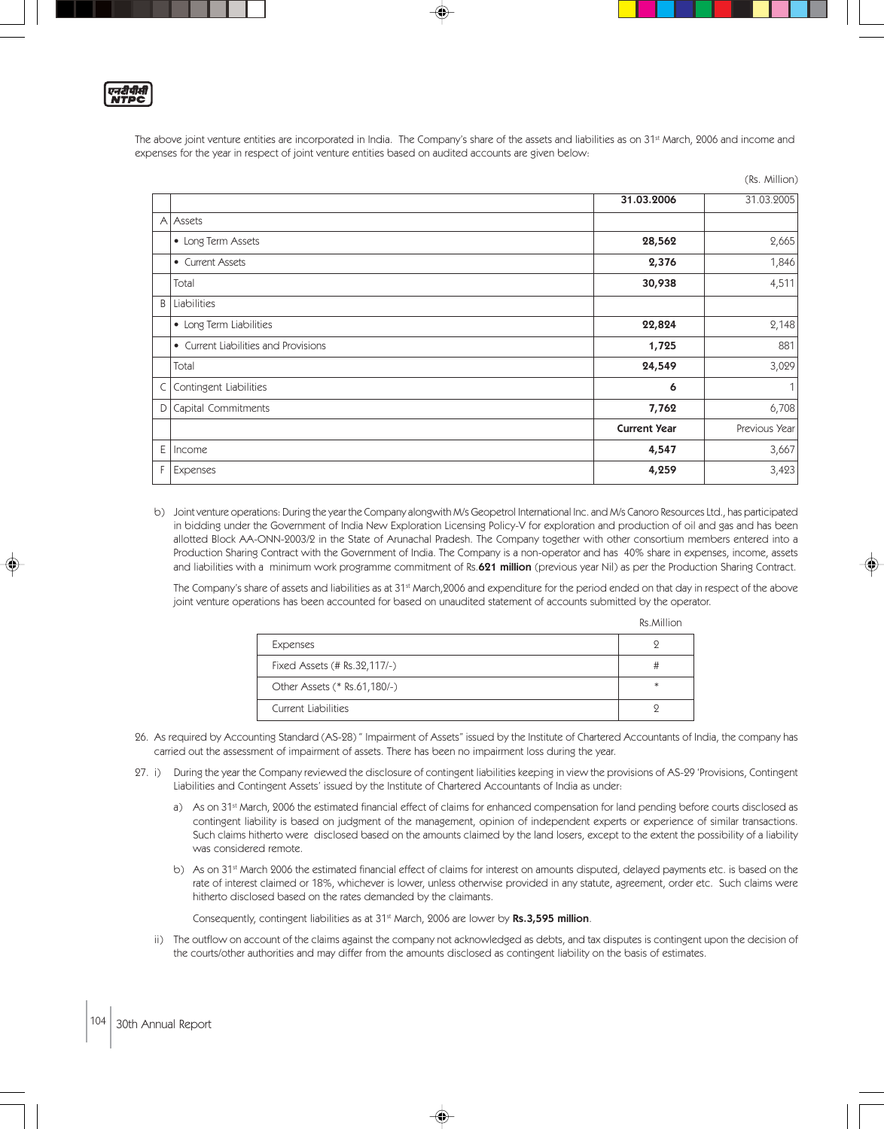

The above joint venture entities are incorporated in India. The Company's share of the assets and liabilities as on 31<sup>st</sup> March, 2006 and income and expenses for the year in respect of joint venture entities based on audited accounts are given below:

(Rs. Million)

|   |                                      |                     | $\sum$        |
|---|--------------------------------------|---------------------|---------------|
|   |                                      | 31.03.2006          | 31.03.2005    |
|   | A Assets                             |                     |               |
|   | • Long Term Assets                   | 28,562              | 2,665         |
|   | • Current Assets                     | 2,376               | 1,846         |
|   | Total                                | 30,938              | 4,511         |
| B | Liabilities                          |                     |               |
|   | • Long Term Liabilities              | 22,824              | 2,148         |
|   | • Current Liabilities and Provisions | 1,725               | 881           |
|   | Total                                | 24,549              | 3,029         |
| C | Contingent Liabilities               | 6                   | 1             |
| D | Capital Commitments                  | 7,762               | 6,708         |
|   |                                      | <b>Current Year</b> | Previous Year |
| Ε | Income                               | 4,547               | 3,667         |
| F | Expenses                             | 4,259               | 3,423         |
|   |                                      |                     |               |

b) Joint venture operations: During the year the Company alongwith M/s Geopetrol International Inc. and M/s Canoro Resources Ltd., has participated in bidding under the Government of India New Exploration Licensing Policy-V for exploration and production of oil and gas and has been allotted Block AA-ONN-2003/2 in the State of Arunachal Pradesh. The Company together with other consortium members entered into a Production Sharing Contract with the Government of India. The Company is a non-operator and has 40% share in expenses, income, assets and liabilities with a minimum work programme commitment of Rs.621 million (previous year Nil) as per the Production Sharing Contract.

The Company's share of assets and liabilities as at 31<sup>st</sup> March,2006 and expenditure for the period ended on that day in respect of the above joint venture operations has been accounted for based on unaudited statement of accounts submitted by the operator.

Rs.Million

|                              | KS. <i>IVIIII</i> IOH |
|------------------------------|-----------------------|
| Expenses                     |                       |
| Fixed Assets (# Rs.32,117/-) |                       |
| Other Assets (* Rs.61,180/-) | $\ast$                |
| Current Liabilities          |                       |

26. As required by Accounting Standard (AS-28) " Impairment of Assets" issued by the Institute of Chartered Accountants of India, the company has carried out the assessment of impairment of assets. There has been no impairment loss during the year.

- 27. i) During the year the Company reviewed the disclosure of contingent liabilities keeping in view the provisions of AS-29 'Provisions, Contingent Liabilities and Contingent Assets' issued by the Institute of Chartered Accountants of India as under:
	- a) As on 31<sup>st</sup> March, 2006 the estimated financial effect of claims for enhanced compensation for land pending before courts disclosed as contingent liability is based on judgment of the management, opinion of independent experts or experience of similar transactions. Such claims hitherto were disclosed based on the amounts claimed by the land losers, except to the extent the possibility of a liability was considered remote.
	- b) As on 31<sup>st</sup> March 2006 the estimated financial effect of claims for interest on amounts disputed, delayed payments etc. is based on the rate of interest claimed or 18%, whichever is lower, unless otherwise provided in any statute, agreement, order etc. Such claims were hitherto disclosed based on the rates demanded by the claimants.

Consequently, contingent liabilities as at 31<sup>st</sup> March, 2006 are lower by Rs.3,595 million.

ii) The outflow on account of the claims against the company not acknowledged as debts, and tax disputes is contingent upon the decision of the courts/other authorities and may differ from the amounts disclosed as contingent liability on the basis of estimates.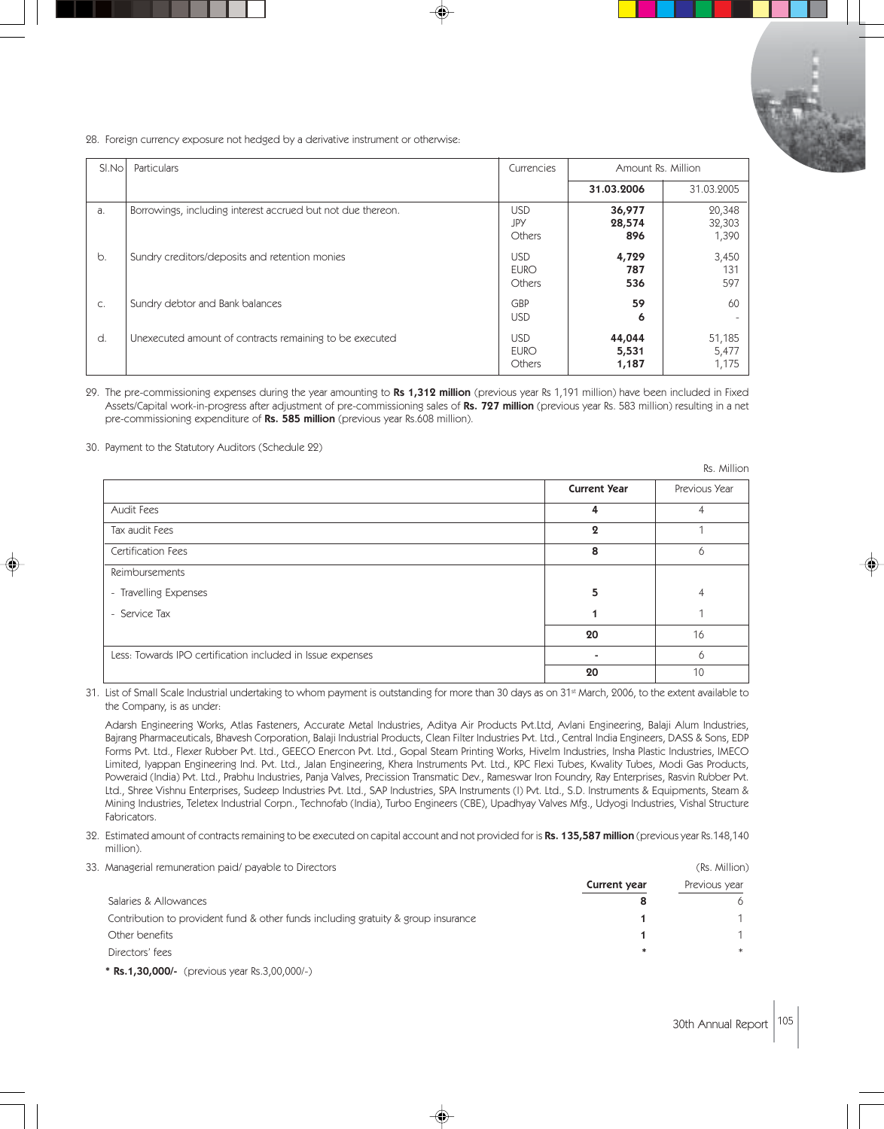

28. Foreign currency exposure not hedged by a derivative instrument or otherwise:

| SI.No         | Particulars                                                 | Currencies                          | Amount Rs. Million       |                           |
|---------------|-------------------------------------------------------------|-------------------------------------|--------------------------|---------------------------|
|               |                                                             |                                     | 31.03.2006               | 31.03.2005                |
| a.            | Borrowings, including interest accrued but not due thereon. | <b>USD</b><br>JPY<br>Others         | 36,977<br>28,574<br>896  | 20,348<br>32,303<br>1,390 |
| b.            | Sundry creditors/deposits and retention monies              | <b>USD</b><br><b>EURO</b><br>Others | 4,729<br>787<br>536      | 3,450<br>131<br>597       |
| $\mathsf{C}.$ | Sundry debtor and Bank balances                             | GBP<br><b>USD</b>                   | 59<br>6                  | 60                        |
| d.            | Unexecuted amount of contracts remaining to be executed     | <b>USD</b><br><b>EURO</b><br>Others | 44,044<br>5,531<br>1,187 | 51,185<br>5,477<br>1,175  |

29. The pre-commissioning expenses during the year amounting to Rs 1,312 million (previous year Rs 1,191 million) have been included in Fixed Assets/Capital work-in-progress after adjustment of pre-commissioning sales of Rs. 727 million (previous year Rs. 583 million) resulting in a net pre-commissioning expenditure of Rs. 585 million (previous year Rs.608 million).

30. Payment to the Statutory Auditors (Schedule 22)

|                                                            |                       | Rs. Million   |
|------------------------------------------------------------|-----------------------|---------------|
|                                                            | <b>Current Year</b>   | Previous Year |
| Audit Fees                                                 | 4                     |               |
| Tax audit Fees                                             | $\boldsymbol{\Omega}$ |               |
| Certification Fees                                         | 8                     | <sup>6</sup>  |
| Reimbursements                                             |                       |               |
| - Travelling Expenses                                      | 5                     |               |
| - Service Tax                                              |                       |               |
|                                                            | 20                    | 16            |
| Less: Towards IPO certification included in Issue expenses |                       |               |
|                                                            | 20                    | 10            |

31. List of Small Scale Industrial undertaking to whom payment is outstanding for more than 30 days as on 31<sup>st</sup> March, 2006, to the extent available to the Company, is as under:

Adarsh Engineering Works, Atlas Fasteners, Accurate Metal Industries, Aditya Air Products Pvt.Ltd, Avlani Engineering, Balaji Alum Industries, Bajrang Pharmaceuticals, Bhavesh Corporation, Balaji Industrial Products, Clean Filter Industries Pvt. Ltd., Central India Engineers, DASS & Sons, EDP Forms Pvt. Ltd., Flexer Rubber Pvt. Ltd., GEECO Enercon Pvt. Ltd., Gopal Steam Printing Works, Hivelm Industries, Insha Plastic Industries, IMECO Limited, Iyappan Engineering Ind. Pvt. Ltd., Jalan Engineering, Khera Instruments Pvt. Ltd., KPC Flexi Tubes, Kwality Tubes, Modi Gas Products, Poweraid (India) Pvt. Ltd., Prabhu Industries, Panja Valves, Precission Transmatic Dev., Rameswar Iron Foundry, Ray Enterprises, Rasvin Rubber Pvt. Ltd., Shree Vishnu Enterprises, Sudeep Industries Pvt. Ltd., SAP Industries, SPA Instruments (I) Pvt. Ltd., S.D. Instruments & Equipments, Steam & Mining Industries, Teletex Industrial Corpn., Technofab (India), Turbo Engineers (CBE), Upadhyay Valves Mfg., Udyogi Industries, Vishal Structure Fabricators.

- 32. Estimated amount of contracts remaining to be executed on capital account and not provided for is Rs. 135,587 million (previous year Rs.148,140 million).
- 33. Managerial remuneration paid/ payable to Directors (Rs. Million) and the state of the state of the state of the state of the state of the state of the state of the state of the state of the state of the state of the st

|                                                                                   | Current year | Previous year |
|-----------------------------------------------------------------------------------|--------------|---------------|
| Salaries & Allowances                                                             |              |               |
| Contribution to provident fund & other funds including gratuity & group insurance |              |               |
| Other benefits                                                                    |              |               |
| Directors' fees                                                                   |              |               |
|                                                                                   |              |               |

\* Rs.1,30,000/- (previous year Rs.3,00,000/-)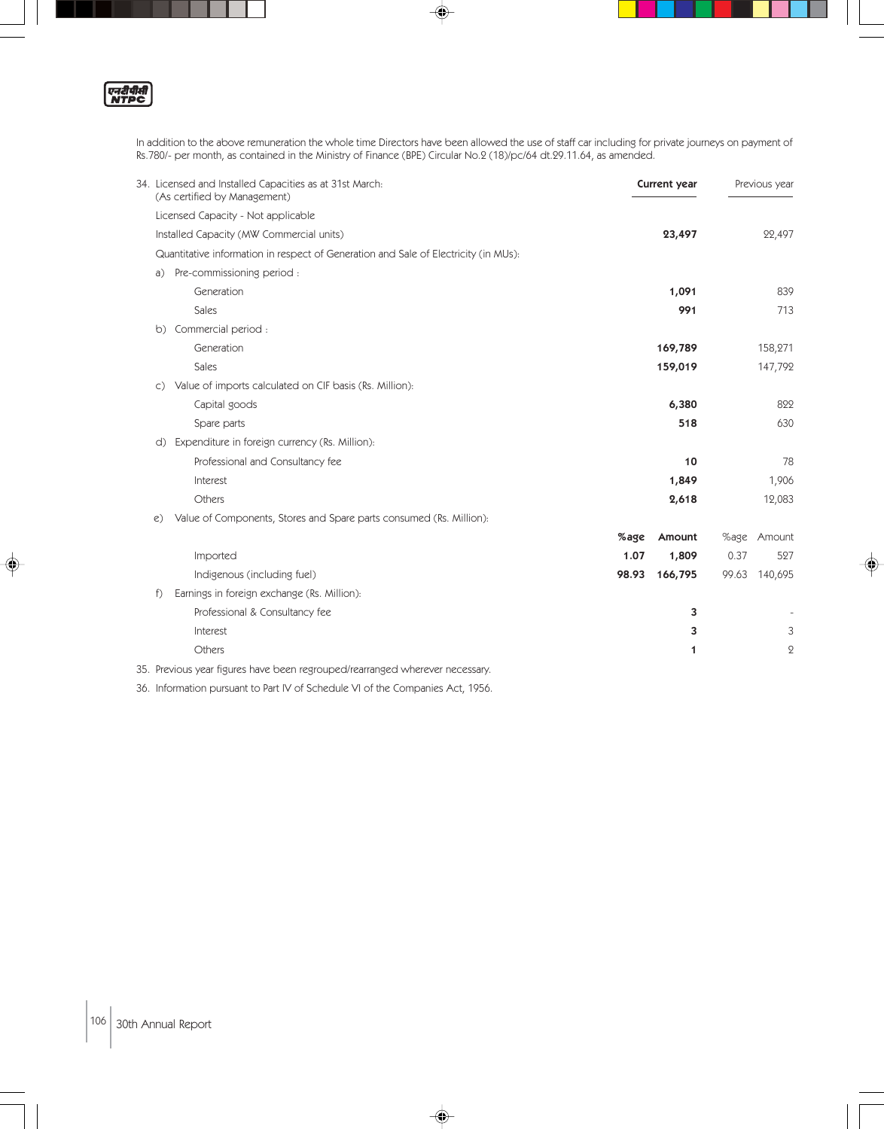एनदीपीती<br>NTPC

◈

In addition to the above remuneration the whole time Directors have been allowed the use of staff car including for private journeys on payment of Rs.780/- per month, as contained in the Ministry of Finance (BPE) Circular No.2 (18)/pc/64 dt.29.11.64, as amended.

 $\spadesuit$ 

| 34. Licensed and Installed Capacities as at 31st March:<br>(As certified by Management) |       | Current year |       | Previous year |
|-----------------------------------------------------------------------------------------|-------|--------------|-------|---------------|
| Licensed Capacity - Not applicable                                                      |       |              |       |               |
| Installed Capacity (MW Commercial units)                                                |       | 23,497       |       | 22,497        |
| Quantitative information in respect of Generation and Sale of Electricity (in MUs):     |       |              |       |               |
| Pre-commissioning period:<br>a)                                                         |       |              |       |               |
| Generation                                                                              |       | 1,091        |       | 839           |
| Sales                                                                                   |       | 991          |       | 713           |
| Commercial period :<br>$\circ$                                                          |       |              |       |               |
| Generation                                                                              |       | 169,789      |       | 158,271       |
| Sales                                                                                   |       | 159,019      |       | 147,792       |
| Value of imports calculated on CIF basis (Rs. Million):<br>$\mathsf{C}$ )               |       |              |       |               |
| Capital goods                                                                           |       | 6,380        |       | 822           |
| Spare parts                                                                             |       | 518          |       | 630           |
| Expenditure in foreign currency (Rs. Million):<br>d)                                    |       |              |       |               |
| Professional and Consultancy fee                                                        |       | 10           |       | 78            |
| Interest                                                                                |       | 1,849        |       | 1,906         |
| Others                                                                                  |       | 2,618        |       | 12,083        |
| Value of Components, Stores and Spare parts consumed (Rs. Million):<br>e)               |       |              |       |               |
|                                                                                         | %age  | Amount       | %age  | Amount        |
| Imported                                                                                | 1.07  | 1,809        | 0.37  | 527           |
| Indigenous (including fuel)                                                             | 98.93 | 166,795      | 99.63 | 140,695       |
| f)<br>Earnings in foreign exchange (Rs. Million):                                       |       |              |       |               |
| Professional & Consultancy fee                                                          |       | 3            |       |               |
| Interest                                                                                |       | 3            |       | 3             |
| Others                                                                                  |       | 1            |       | $\mathbf{Q}$  |
| 35. Previous year figures have been regrouped/rearranged wherever necessary.            |       |              |       |               |

 $\Rightarrow$ 

36. Information pursuant to Part IV of Schedule VI of the Companies Act, 1956.